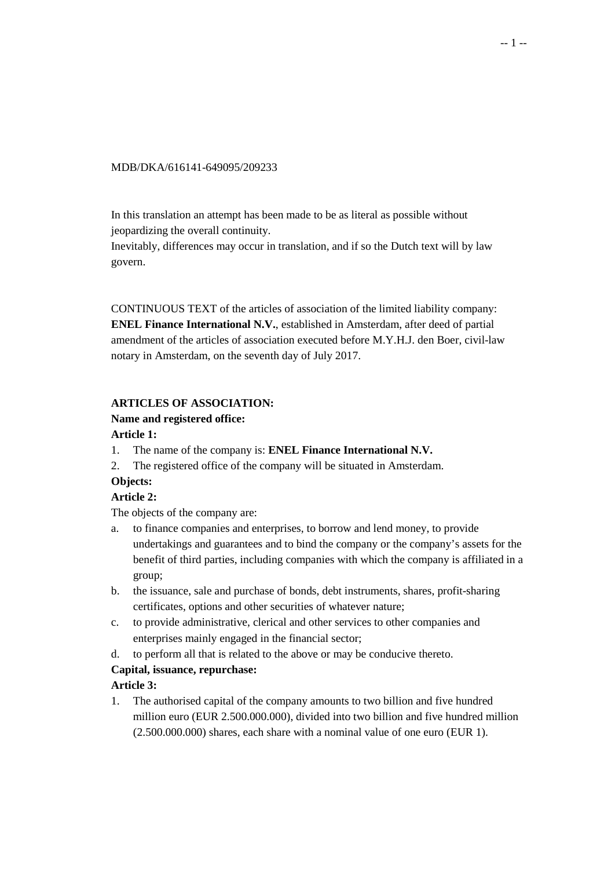#### MDB/DKA/616141-649095/209233

In this translation an attempt has been made to be as literal as possible without jeopardizing the overall continuity.

Inevitably, differences may occur in translation, and if so the Dutch text will by law govern.

CONTINUOUS TEXT of the articles of association of the limited liability company: **ENEL Finance International N.V.**, established in Amsterdam, after deed of partial amendment of the articles of association executed before M.Y.H.J. den Boer, civil-law notary in Amsterdam, on the seventh day of July 2017.

### **ARTICLES OF ASSOCIATION:**

### **Name and registered office:**

#### **Article 1:**

- 1. The name of the company is: **ENEL Finance International N.V.**
- 2. The registered office of the company will be situated in Amsterdam.

# **Objects:**

#### **Article 2:**

The objects of the company are:

- a. to finance companies and enterprises, to borrow and lend money, to provide undertakings and guarantees and to bind the company or the company's assets for the benefit of third parties, including companies with which the company is affiliated in a group;
- b. the issuance, sale and purchase of bonds, debt instruments, shares, profit-sharing certificates, options and other securities of whatever nature;
- c. to provide administrative, clerical and other services to other companies and enterprises mainly engaged in the financial sector;
- d. to perform all that is related to the above or may be conducive thereto.

# **Capital, issuance, repurchase:**

# **Article 3:**

1. The authorised capital of the company amounts to two billion and five hundred million euro (EUR 2.500.000.000), divided into two billion and five hundred million (2.500.000.000) shares, each share with a nominal value of one euro (EUR 1).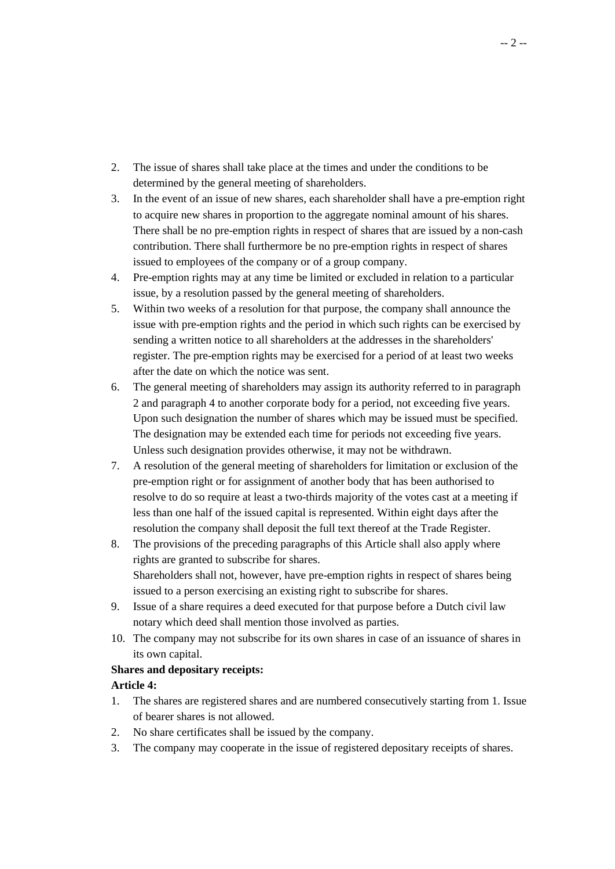- 2. The issue of shares shall take place at the times and under the conditions to be determined by the general meeting of shareholders.
- 3. In the event of an issue of new shares, each shareholder shall have a pre-emption right to acquire new shares in proportion to the aggregate nominal amount of his shares. There shall be no pre-emption rights in respect of shares that are issued by a non-cash contribution. There shall furthermore be no pre-emption rights in respect of shares issued to employees of the company or of a group company.
- 4. Pre-emption rights may at any time be limited or excluded in relation to a particular issue, by a resolution passed by the general meeting of shareholders.
- 5. Within two weeks of a resolution for that purpose, the company shall announce the issue with pre-emption rights and the period in which such rights can be exercised by sending a written notice to all shareholders at the addresses in the shareholders' register. The pre-emption rights may be exercised for a period of at least two weeks after the date on which the notice was sent.
- 6. The general meeting of shareholders may assign its authority referred to in paragraph 2 and paragraph 4 to another corporate body for a period, not exceeding five years. Upon such designation the number of shares which may be issued must be specified. The designation may be extended each time for periods not exceeding five years. Unless such designation provides otherwise, it may not be withdrawn.
- 7. A resolution of the general meeting of shareholders for limitation or exclusion of the pre-emption right or for assignment of another body that has been authorised to resolve to do so require at least a two-thirds majority of the votes cast at a meeting if less than one half of the issued capital is represented. Within eight days after the resolution the company shall deposit the full text thereof at the Trade Register.
- 8. The provisions of the preceding paragraphs of this Article shall also apply where rights are granted to subscribe for shares. Shareholders shall not, however, have pre-emption rights in respect of shares being issued to a person exercising an existing right to subscribe for shares.
- 9. Issue of a share requires a deed executed for that purpose before a Dutch civil law notary which deed shall mention those involved as parties.
- 10. The company may not subscribe for its own shares in case of an issuance of shares in its own capital.

# **Shares and depositary receipts:**

# **Article 4:**

- 1. The shares are registered shares and are numbered consecutively starting from 1. Issue of bearer shares is not allowed.
- 2. No share certificates shall be issued by the company.
- 3. The company may cooperate in the issue of registered depositary receipts of shares.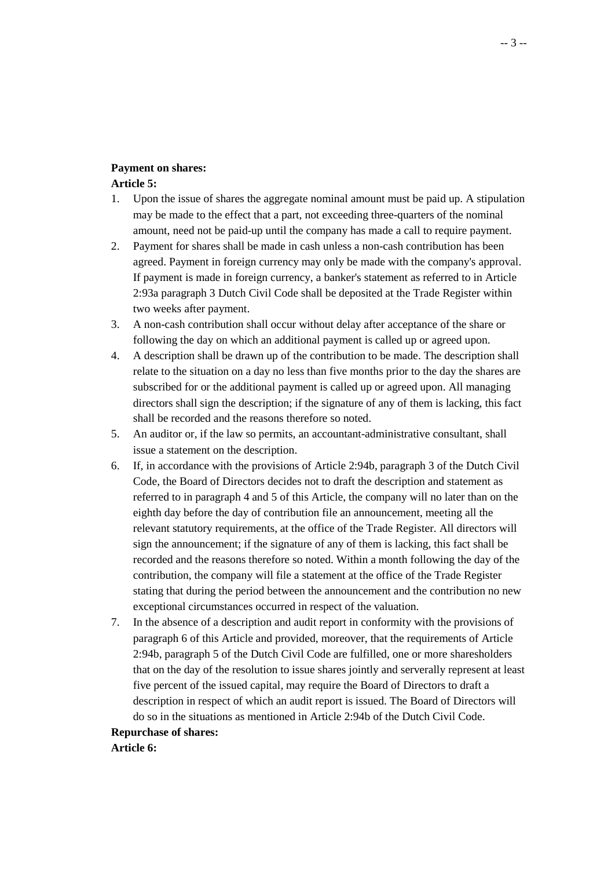#### **Payment on shares:**

#### **Article 5:**

- 1. Upon the issue of shares the aggregate nominal amount must be paid up. A stipulation may be made to the effect that a part, not exceeding three-quarters of the nominal amount, need not be paid-up until the company has made a call to require payment.
- 2. Payment for shares shall be made in cash unless a non-cash contribution has been agreed. Payment in foreign currency may only be made with the company's approval. If payment is made in foreign currency, a banker's statement as referred to in Article 2:93a paragraph 3 Dutch Civil Code shall be deposited at the Trade Register within two weeks after payment.
- 3. A non-cash contribution shall occur without delay after acceptance of the share or following the day on which an additional payment is called up or agreed upon.
- 4. A description shall be drawn up of the contribution to be made. The description shall relate to the situation on a day no less than five months prior to the day the shares are subscribed for or the additional payment is called up or agreed upon. All managing directors shall sign the description; if the signature of any of them is lacking, this fact shall be recorded and the reasons therefore so noted.
- 5. An auditor or, if the law so permits, an accountant-administrative consultant, shall issue a statement on the description.
- 6. If, in accordance with the provisions of Article 2:94b, paragraph 3 of the Dutch Civil Code, the Board of Directors decides not to draft the description and statement as referred to in paragraph 4 and 5 of this Article, the company will no later than on the eighth day before the day of contribution file an announcement, meeting all the relevant statutory requirements, at the office of the Trade Register. All directors will sign the announcement; if the signature of any of them is lacking, this fact shall be recorded and the reasons therefore so noted. Within a month following the day of the contribution, the company will file a statement at the office of the Trade Register stating that during the period between the announcement and the contribution no new exceptional circumstances occurred in respect of the valuation.
- 7. In the absence of a description and audit report in conformity with the provisions of paragraph 6 of this Article and provided, moreover, that the requirements of Article 2:94b, paragraph 5 of the Dutch Civil Code are fulfilled, one or more sharesholders that on the day of the resolution to issue shares jointly and serverally represent at least five percent of the issued capital, may require the Board of Directors to draft a description in respect of which an audit report is issued. The Board of Directors will do so in the situations as mentioned in Article 2:94b of the Dutch Civil Code.

### **Repurchase of shares:**

**Article 6:**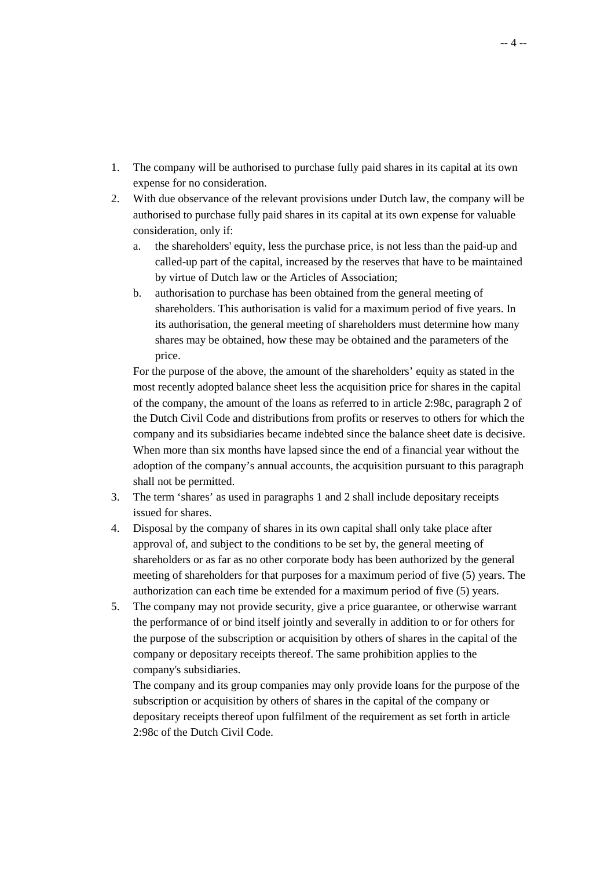- 1. The company will be authorised to purchase fully paid shares in its capital at its own expense for no consideration.
- 2. With due observance of the relevant provisions under Dutch law, the company will be authorised to purchase fully paid shares in its capital at its own expense for valuable consideration, only if:
	- a. the shareholders' equity, less the purchase price, is not less than the paid-up and called-up part of the capital, increased by the reserves that have to be maintained by virtue of Dutch law or the Articles of Association;
	- b. authorisation to purchase has been obtained from the general meeting of shareholders. This authorisation is valid for a maximum period of five years. In its authorisation, the general meeting of shareholders must determine how many shares may be obtained, how these may be obtained and the parameters of the price.

 For the purpose of the above, the amount of the shareholders' equity as stated in the most recently adopted balance sheet less the acquisition price for shares in the capital of the company, the amount of the loans as referred to in article 2:98c, paragraph 2 of the Dutch Civil Code and distributions from profits or reserves to others for which the company and its subsidiaries became indebted since the balance sheet date is decisive. When more than six months have lapsed since the end of a financial year without the adoption of the company's annual accounts, the acquisition pursuant to this paragraph shall not be permitted.

- 3. The term 'shares' as used in paragraphs 1 and 2 shall include depositary receipts issued for shares.
- 4. Disposal by the company of shares in its own capital shall only take place after approval of, and subject to the conditions to be set by, the general meeting of shareholders or as far as no other corporate body has been authorized by the general meeting of shareholders for that purposes for a maximum period of five (5) years. The authorization can each time be extended for a maximum period of five (5) years.
- 5. The company may not provide security, give a price guarantee, or otherwise warrant the performance of or bind itself jointly and severally in addition to or for others for the purpose of the subscription or acquisition by others of shares in the capital of the company or depositary receipts thereof. The same prohibition applies to the company's subsidiaries.

 The company and its group companies may only provide loans for the purpose of the subscription or acquisition by others of shares in the capital of the company or depositary receipts thereof upon fulfilment of the requirement as set forth in article 2:98c of the Dutch Civil Code.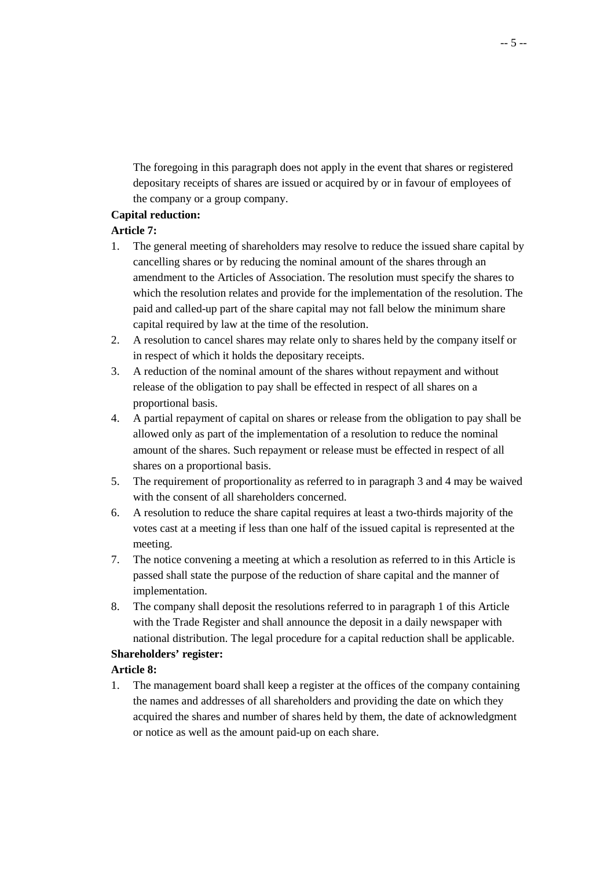The foregoing in this paragraph does not apply in the event that shares or registered depositary receipts of shares are issued or acquired by or in favour of employees of the company or a group company.

# **Capital reduction:**

# **Article 7:**

- 1. The general meeting of shareholders may resolve to reduce the issued share capital by cancelling shares or by reducing the nominal amount of the shares through an amendment to the Articles of Association. The resolution must specify the shares to which the resolution relates and provide for the implementation of the resolution. The paid and called-up part of the share capital may not fall below the minimum share capital required by law at the time of the resolution.
- 2. A resolution to cancel shares may relate only to shares held by the company itself or in respect of which it holds the depositary receipts.
- 3. A reduction of the nominal amount of the shares without repayment and without release of the obligation to pay shall be effected in respect of all shares on a proportional basis.
- 4. A partial repayment of capital on shares or release from the obligation to pay shall be allowed only as part of the implementation of a resolution to reduce the nominal amount of the shares. Such repayment or release must be effected in respect of all shares on a proportional basis.
- 5. The requirement of proportionality as referred to in paragraph 3 and 4 may be waived with the consent of all shareholders concerned.
- 6. A resolution to reduce the share capital requires at least a two-thirds majority of the votes cast at a meeting if less than one half of the issued capital is represented at the meeting.
- 7. The notice convening a meeting at which a resolution as referred to in this Article is passed shall state the purpose of the reduction of share capital and the manner of implementation.
- 8. The company shall deposit the resolutions referred to in paragraph 1 of this Article with the Trade Register and shall announce the deposit in a daily newspaper with national distribution. The legal procedure for a capital reduction shall be applicable.

# **Shareholders' register:**

# **Article 8:**

1. The management board shall keep a register at the offices of the company containing the names and addresses of all shareholders and providing the date on which they acquired the shares and number of shares held by them, the date of acknowledgment or notice as well as the amount paid-up on each share.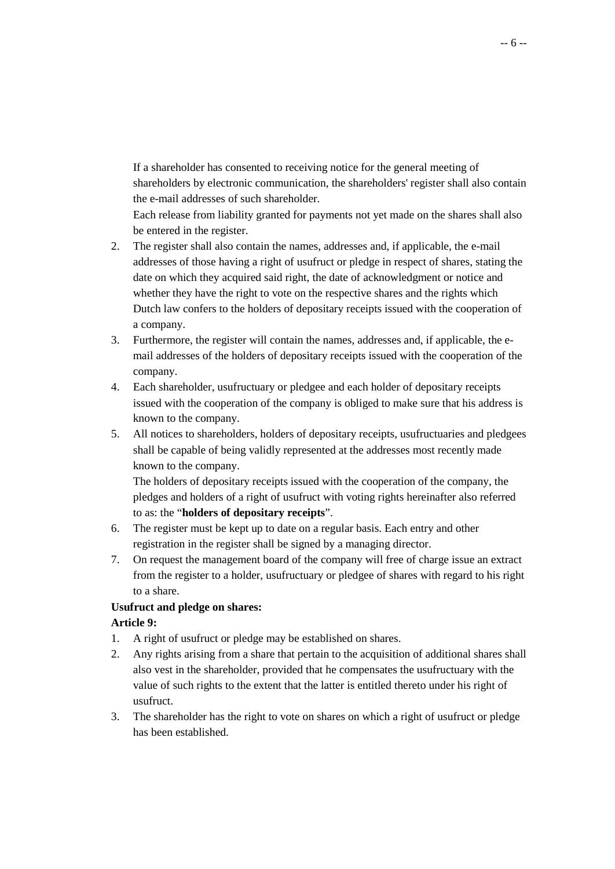If a shareholder has consented to receiving notice for the general meeting of shareholders by electronic communication, the shareholders' register shall also contain the e-mail addresses of such shareholder.

 Each release from liability granted for payments not yet made on the shares shall also be entered in the register.

- 2. The register shall also contain the names, addresses and, if applicable, the e-mail addresses of those having a right of usufruct or pledge in respect of shares, stating the date on which they acquired said right, the date of acknowledgment or notice and whether they have the right to vote on the respective shares and the rights which Dutch law confers to the holders of depositary receipts issued with the cooperation of a company.
- 3. Furthermore, the register will contain the names, addresses and, if applicable, the email addresses of the holders of depositary receipts issued with the cooperation of the company.
- 4. Each shareholder, usufructuary or pledgee and each holder of depositary receipts issued with the cooperation of the company is obliged to make sure that his address is known to the company.
- 5. All notices to shareholders, holders of depositary receipts, usufructuaries and pledgees shall be capable of being validly represented at the addresses most recently made known to the company.

 The holders of depositary receipts issued with the cooperation of the company, the pledges and holders of a right of usufruct with voting rights hereinafter also referred to as: the "**holders of depositary receipts**".

- 6. The register must be kept up to date on a regular basis. Each entry and other registration in the register shall be signed by a managing director.
- 7. On request the management board of the company will free of charge issue an extract from the register to a holder, usufructuary or pledgee of shares with regard to his right to a share.

# **Usufruct and pledge on shares:**

# **Article 9:**

- 1. A right of usufruct or pledge may be established on shares.
- 2. Any rights arising from a share that pertain to the acquisition of additional shares shall also vest in the shareholder, provided that he compensates the usufructuary with the value of such rights to the extent that the latter is entitled thereto under his right of usufruct.
- 3. The shareholder has the right to vote on shares on which a right of usufruct or pledge has been established.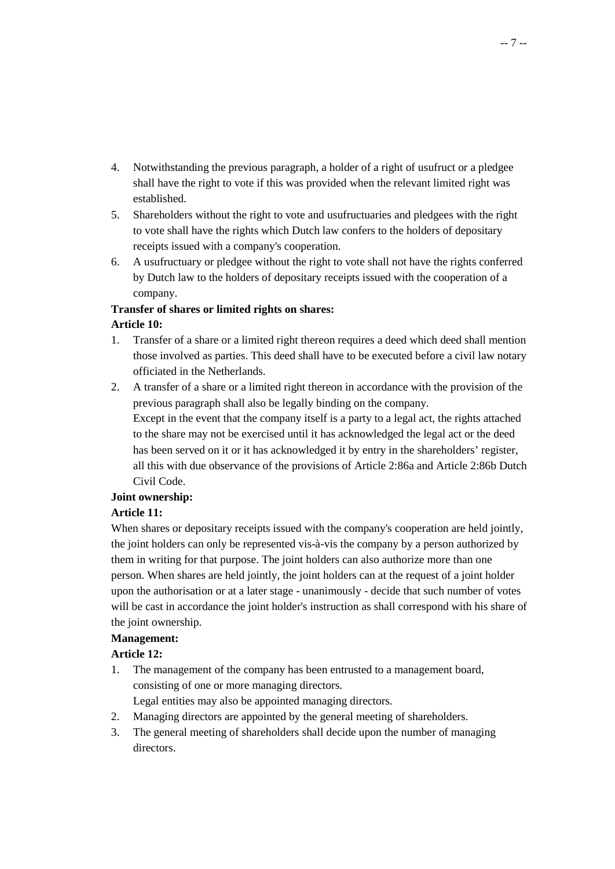- 4. Notwithstanding the previous paragraph, a holder of a right of usufruct or a pledgee shall have the right to vote if this was provided when the relevant limited right was established.
- 5. Shareholders without the right to vote and usufructuaries and pledgees with the right to vote shall have the rights which Dutch law confers to the holders of depositary receipts issued with a company's cooperation.
- 6. A usufructuary or pledgee without the right to vote shall not have the rights conferred by Dutch law to the holders of depositary receipts issued with the cooperation of a company.

#### **Transfer of shares or limited rights on shares: Article 10:**

- 1. Transfer of a share or a limited right thereon requires a deed which deed shall mention those involved as parties. This deed shall have to be executed before a civil law notary officiated in the Netherlands.
- 2. A transfer of a share or a limited right thereon in accordance with the provision of the previous paragraph shall also be legally binding on the company. Except in the event that the company itself is a party to a legal act, the rights attached to the share may not be exercised until it has acknowledged the legal act or the deed has been served on it or it has acknowledged it by entry in the shareholders' register, all this with due observance of the provisions of Article 2:86a and Article 2:86b Dutch Civil Code.

# **Joint ownership:**

# **Article 11:**

When shares or depositary receipts issued with the company's cooperation are held jointly, the joint holders can only be represented vis-à-vis the company by a person authorized by them in writing for that purpose. The joint holders can also authorize more than one person. When shares are held jointly, the joint holders can at the request of a joint holder upon the authorisation or at a later stage - unanimously - decide that such number of votes will be cast in accordance the joint holder's instruction as shall correspond with his share of the joint ownership.

# **Management:**

# **Article 12:**

1. The management of the company has been entrusted to a management board, consisting of one or more managing directors.

Legal entities may also be appointed managing directors.

- 2. Managing directors are appointed by the general meeting of shareholders.
- 3. The general meeting of shareholders shall decide upon the number of managing directors.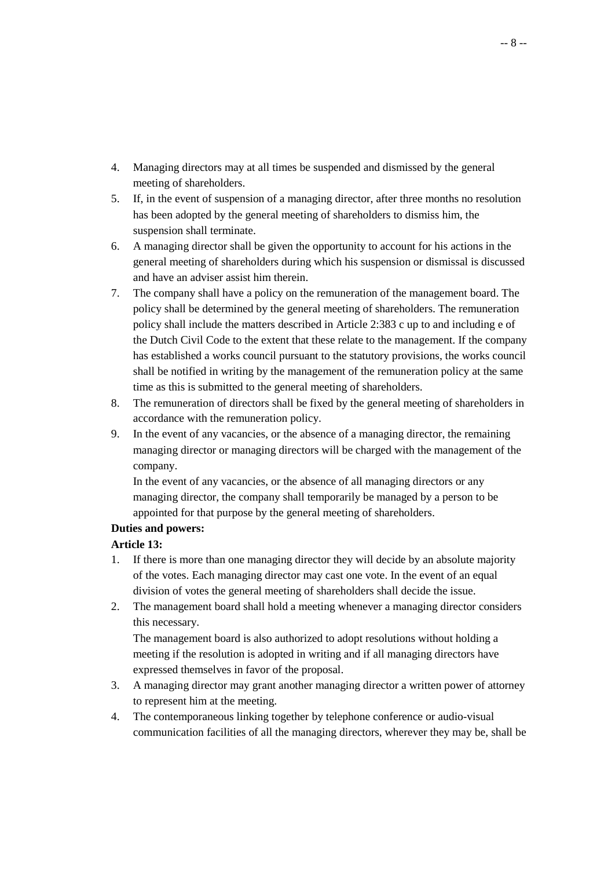- 4. Managing directors may at all times be suspended and dismissed by the general meeting of shareholders.
- 5. If, in the event of suspension of a managing director, after three months no resolution has been adopted by the general meeting of shareholders to dismiss him, the suspension shall terminate.
- 6. A managing director shall be given the opportunity to account for his actions in the general meeting of shareholders during which his suspension or dismissal is discussed and have an adviser assist him therein.
- 7. The company shall have a policy on the remuneration of the management board. The policy shall be determined by the general meeting of shareholders. The remuneration policy shall include the matters described in Article 2:383 c up to and including e of the Dutch Civil Code to the extent that these relate to the management. If the company has established a works council pursuant to the statutory provisions, the works council shall be notified in writing by the management of the remuneration policy at the same time as this is submitted to the general meeting of shareholders.
- 8. The remuneration of directors shall be fixed by the general meeting of shareholders in accordance with the remuneration policy.
- 9. In the event of any vacancies, or the absence of a managing director, the remaining managing director or managing directors will be charged with the management of the company.

 In the event of any vacancies, or the absence of all managing directors or any managing director, the company shall temporarily be managed by a person to be appointed for that purpose by the general meeting of shareholders.

# **Duties and powers:**

# **Article 13:**

- 1. If there is more than one managing director they will decide by an absolute majority of the votes. Each managing director may cast one vote. In the event of an equal division of votes the general meeting of shareholders shall decide the issue.
- 2. The management board shall hold a meeting whenever a managing director considers this necessary.

 The management board is also authorized to adopt resolutions without holding a meeting if the resolution is adopted in writing and if all managing directors have expressed themselves in favor of the proposal.

- 3. A managing director may grant another managing director a written power of attorney to represent him at the meeting.
- 4. The contemporaneous linking together by telephone conference or audio-visual communication facilities of all the managing directors, wherever they may be, shall be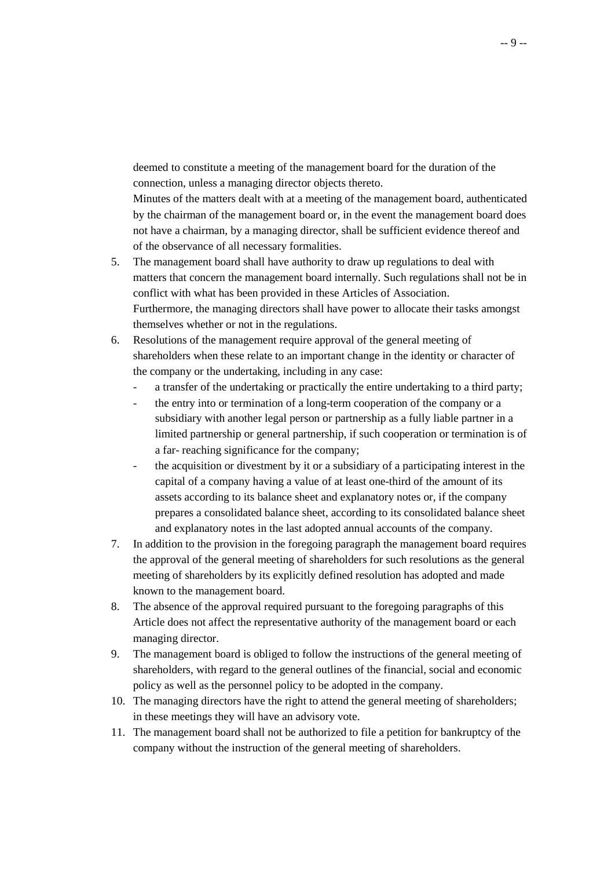deemed to constitute a meeting of the management board for the duration of the connection, unless a managing director objects thereto.

 Minutes of the matters dealt with at a meeting of the management board, authenticated by the chairman of the management board or, in the event the management board does not have a chairman, by a managing director, shall be sufficient evidence thereof and of the observance of all necessary formalities.

- 5. The management board shall have authority to draw up regulations to deal with matters that concern the management board internally. Such regulations shall not be in conflict with what has been provided in these Articles of Association. Furthermore, the managing directors shall have power to allocate their tasks amongst themselves whether or not in the regulations.
- 6. Resolutions of the management require approval of the general meeting of shareholders when these relate to an important change in the identity or character of the company or the undertaking, including in any case:
	- a transfer of the undertaking or practically the entire undertaking to a third party;
	- the entry into or termination of a long-term cooperation of the company or a subsidiary with another legal person or partnership as a fully liable partner in a limited partnership or general partnership, if such cooperation or termination is of a far- reaching significance for the company;
	- the acquisition or divestment by it or a subsidiary of a participating interest in the capital of a company having a value of at least one-third of the amount of its assets according to its balance sheet and explanatory notes or, if the company prepares a consolidated balance sheet, according to its consolidated balance sheet and explanatory notes in the last adopted annual accounts of the company.
- 7. In addition to the provision in the foregoing paragraph the management board requires the approval of the general meeting of shareholders for such resolutions as the general meeting of shareholders by its explicitly defined resolution has adopted and made known to the management board.
- 8. The absence of the approval required pursuant to the foregoing paragraphs of this Article does not affect the representative authority of the management board or each managing director.
- 9. The management board is obliged to follow the instructions of the general meeting of shareholders, with regard to the general outlines of the financial, social and economic policy as well as the personnel policy to be adopted in the company.
- 10. The managing directors have the right to attend the general meeting of shareholders; in these meetings they will have an advisory vote.
- 11. The management board shall not be authorized to file a petition for bankruptcy of the company without the instruction of the general meeting of shareholders.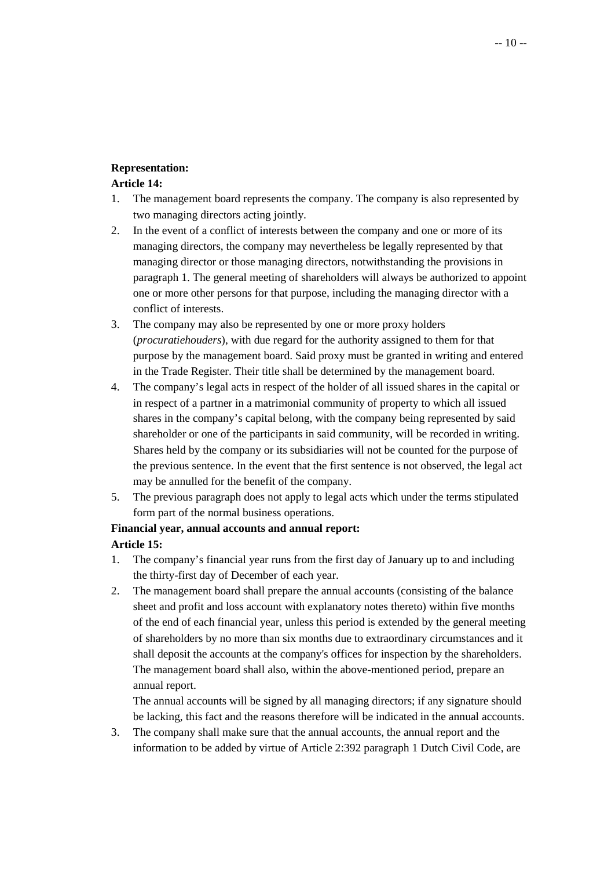### **Representation:**

# **Article 14:**

- 1. The management board represents the company. The company is also represented by two managing directors acting jointly.
- 2. In the event of a conflict of interests between the company and one or more of its managing directors, the company may nevertheless be legally represented by that managing director or those managing directors, notwithstanding the provisions in paragraph 1. The general meeting of shareholders will always be authorized to appoint one or more other persons for that purpose, including the managing director with a conflict of interests.
- 3. The company may also be represented by one or more proxy holders (*procuratiehouders*), with due regard for the authority assigned to them for that purpose by the management board. Said proxy must be granted in writing and entered in the Trade Register. Their title shall be determined by the management board.
- 4. The company's legal acts in respect of the holder of all issued shares in the capital or in respect of a partner in a matrimonial community of property to which all issued shares in the company's capital belong, with the company being represented by said shareholder or one of the participants in said community, will be recorded in writing. Shares held by the company or its subsidiaries will not be counted for the purpose of the previous sentence. In the event that the first sentence is not observed, the legal act may be annulled for the benefit of the company.
- 5. The previous paragraph does not apply to legal acts which under the terms stipulated form part of the normal business operations.

#### **Financial year, annual accounts and annual report:**

# **Article 15:**

- 1. The company's financial year runs from the first day of January up to and including the thirty-first day of December of each year.
- 2. The management board shall prepare the annual accounts (consisting of the balance sheet and profit and loss account with explanatory notes thereto) within five months of the end of each financial year, unless this period is extended by the general meeting of shareholders by no more than six months due to extraordinary circumstances and it shall deposit the accounts at the company's offices for inspection by the shareholders. The management board shall also, within the above-mentioned period, prepare an annual report.

 The annual accounts will be signed by all managing directors; if any signature should be lacking, this fact and the reasons therefore will be indicated in the annual accounts.

3. The company shall make sure that the annual accounts, the annual report and the information to be added by virtue of Article 2:392 paragraph 1 Dutch Civil Code, are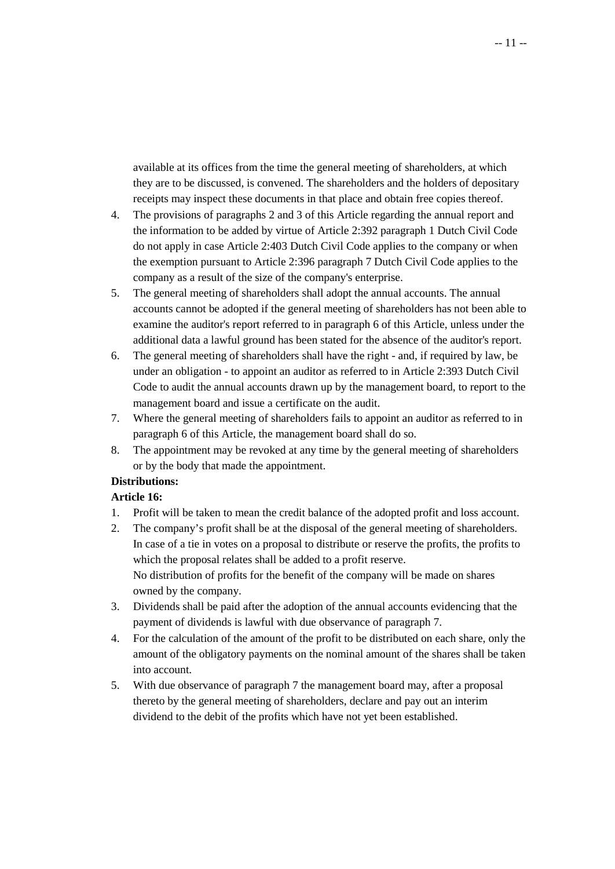available at its offices from the time the general meeting of shareholders, at which they are to be discussed, is convened. The shareholders and the holders of depositary receipts may inspect these documents in that place and obtain free copies thereof.

- 4. The provisions of paragraphs 2 and 3 of this Article regarding the annual report and the information to be added by virtue of Article 2:392 paragraph 1 Dutch Civil Code do not apply in case Article 2:403 Dutch Civil Code applies to the company or when the exemption pursuant to Article 2:396 paragraph 7 Dutch Civil Code applies to the company as a result of the size of the company's enterprise.
- 5. The general meeting of shareholders shall adopt the annual accounts. The annual accounts cannot be adopted if the general meeting of shareholders has not been able to examine the auditor's report referred to in paragraph 6 of this Article, unless under the additional data a lawful ground has been stated for the absence of the auditor's report.
- 6. The general meeting of shareholders shall have the right and, if required by law, be under an obligation - to appoint an auditor as referred to in Article 2:393 Dutch Civil Code to audit the annual accounts drawn up by the management board, to report to the management board and issue a certificate on the audit.
- 7. Where the general meeting of shareholders fails to appoint an auditor as referred to in paragraph 6 of this Article, the management board shall do so.
- 8. The appointment may be revoked at any time by the general meeting of shareholders or by the body that made the appointment.

# **Distributions:**

# **Article 16:**

- 1. Profit will be taken to mean the credit balance of the adopted profit and loss account.
- 2. The company's profit shall be at the disposal of the general meeting of shareholders. In case of a tie in votes on a proposal to distribute or reserve the profits, the profits to which the proposal relates shall be added to a profit reserve. No distribution of profits for the benefit of the company will be made on shares owned by the company.
- 3. Dividends shall be paid after the adoption of the annual accounts evidencing that the payment of dividends is lawful with due observance of paragraph 7.
- 4. For the calculation of the amount of the profit to be distributed on each share, only the amount of the obligatory payments on the nominal amount of the shares shall be taken into account.
- 5. With due observance of paragraph 7 the management board may, after a proposal thereto by the general meeting of shareholders, declare and pay out an interim dividend to the debit of the profits which have not yet been established.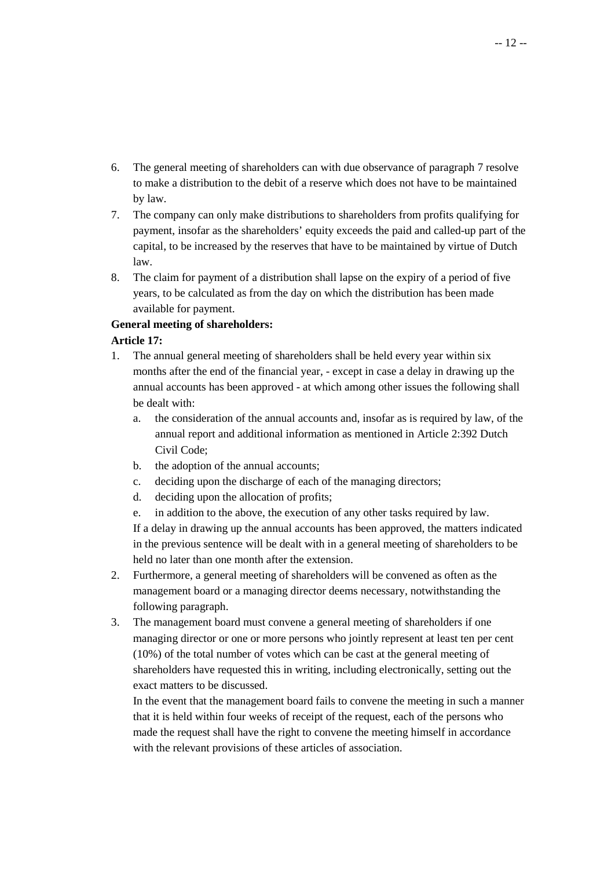- 6. The general meeting of shareholders can with due observance of paragraph 7 resolve to make a distribution to the debit of a reserve which does not have to be maintained by law.
- 7. The company can only make distributions to shareholders from profits qualifying for payment, insofar as the shareholders' equity exceeds the paid and called-up part of the capital, to be increased by the reserves that have to be maintained by virtue of Dutch law.
- 8. The claim for payment of a distribution shall lapse on the expiry of a period of five years, to be calculated as from the day on which the distribution has been made available for payment.

# **General meeting of shareholders:**

# **Article 17:**

- 1. The annual general meeting of shareholders shall be held every year within six months after the end of the financial year, - except in case a delay in drawing up the annual accounts has been approved - at which among other issues the following shall be dealt with:
	- a. the consideration of the annual accounts and, insofar as is required by law, of the annual report and additional information as mentioned in Article 2:392 Dutch Civil Code;
	- b. the adoption of the annual accounts;
	- c. deciding upon the discharge of each of the managing directors;
	- d. deciding upon the allocation of profits;
	- e. in addition to the above, the execution of any other tasks required by law. If a delay in drawing up the annual accounts has been approved, the matters indicated in the previous sentence will be dealt with in a general meeting of shareholders to be held no later than one month after the extension.
- 2. Furthermore, a general meeting of shareholders will be convened as often as the management board or a managing director deems necessary, notwithstanding the following paragraph.
- 3. The management board must convene a general meeting of shareholders if one managing director or one or more persons who jointly represent at least ten per cent (10%) of the total number of votes which can be cast at the general meeting of shareholders have requested this in writing, including electronically, setting out the exact matters to be discussed.

 In the event that the management board fails to convene the meeting in such a manner that it is held within four weeks of receipt of the request, each of the persons who made the request shall have the right to convene the meeting himself in accordance with the relevant provisions of these articles of association.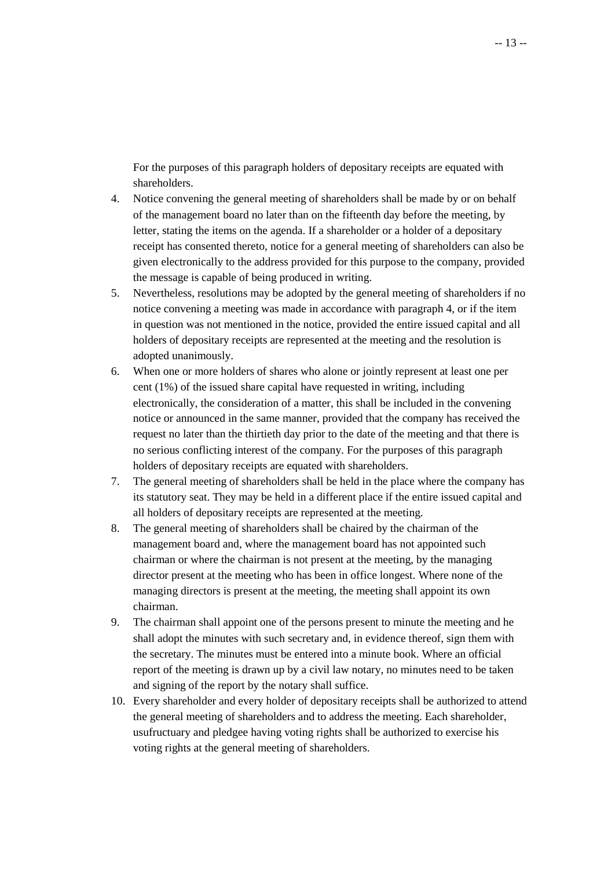For the purposes of this paragraph holders of depositary receipts are equated with shareholders.

- 4. Notice convening the general meeting of shareholders shall be made by or on behalf of the management board no later than on the fifteenth day before the meeting, by letter, stating the items on the agenda. If a shareholder or a holder of a depositary receipt has consented thereto, notice for a general meeting of shareholders can also be given electronically to the address provided for this purpose to the company, provided the message is capable of being produced in writing.
- 5. Nevertheless, resolutions may be adopted by the general meeting of shareholders if no notice convening a meeting was made in accordance with paragraph 4, or if the item in question was not mentioned in the notice, provided the entire issued capital and all holders of depositary receipts are represented at the meeting and the resolution is adopted unanimously.
- 6. When one or more holders of shares who alone or jointly represent at least one per cent (1%) of the issued share capital have requested in writing, including electronically, the consideration of a matter, this shall be included in the convening notice or announced in the same manner, provided that the company has received the request no later than the thirtieth day prior to the date of the meeting and that there is no serious conflicting interest of the company. For the purposes of this paragraph holders of depositary receipts are equated with shareholders.
- 7. The general meeting of shareholders shall be held in the place where the company has its statutory seat. They may be held in a different place if the entire issued capital and all holders of depositary receipts are represented at the meeting.
- 8. The general meeting of shareholders shall be chaired by the chairman of the management board and, where the management board has not appointed such chairman or where the chairman is not present at the meeting, by the managing director present at the meeting who has been in office longest. Where none of the managing directors is present at the meeting, the meeting shall appoint its own chairman.
- 9. The chairman shall appoint one of the persons present to minute the meeting and he shall adopt the minutes with such secretary and, in evidence thereof, sign them with the secretary. The minutes must be entered into a minute book. Where an official report of the meeting is drawn up by a civil law notary, no minutes need to be taken and signing of the report by the notary shall suffice.
- 10. Every shareholder and every holder of depositary receipts shall be authorized to attend the general meeting of shareholders and to address the meeting. Each shareholder, usufructuary and pledgee having voting rights shall be authorized to exercise his voting rights at the general meeting of shareholders.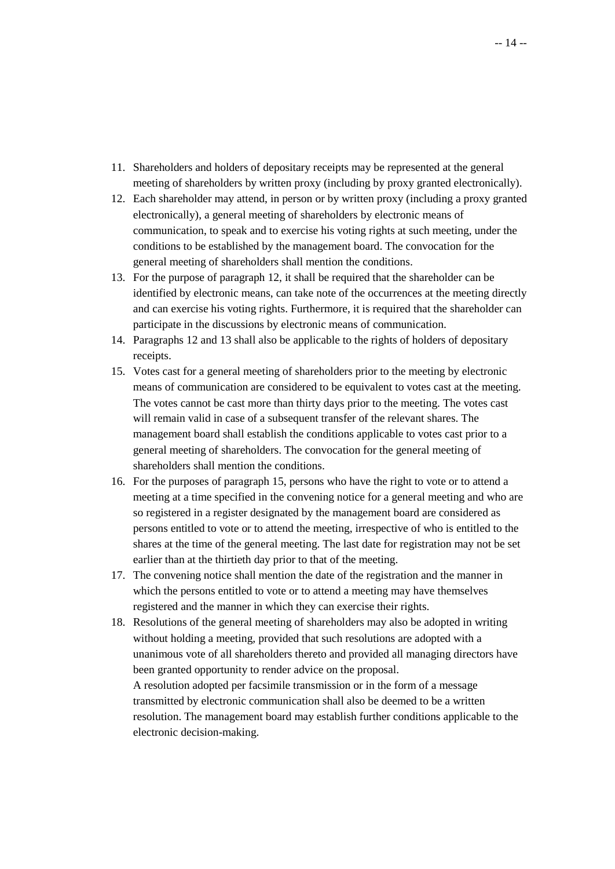- 11. Shareholders and holders of depositary receipts may be represented at the general meeting of shareholders by written proxy (including by proxy granted electronically).
- 12. Each shareholder may attend, in person or by written proxy (including a proxy granted electronically), a general meeting of shareholders by electronic means of communication, to speak and to exercise his voting rights at such meeting, under the conditions to be established by the management board. The convocation for the general meeting of shareholders shall mention the conditions.
- 13. For the purpose of paragraph 12, it shall be required that the shareholder can be identified by electronic means, can take note of the occurrences at the meeting directly and can exercise his voting rights. Furthermore, it is required that the shareholder can participate in the discussions by electronic means of communication.
- 14. Paragraphs 12 and 13 shall also be applicable to the rights of holders of depositary receipts.
- 15. Votes cast for a general meeting of shareholders prior to the meeting by electronic means of communication are considered to be equivalent to votes cast at the meeting. The votes cannot be cast more than thirty days prior to the meeting. The votes cast will remain valid in case of a subsequent transfer of the relevant shares. The management board shall establish the conditions applicable to votes cast prior to a general meeting of shareholders. The convocation for the general meeting of shareholders shall mention the conditions.
- 16. For the purposes of paragraph 15, persons who have the right to vote or to attend a meeting at a time specified in the convening notice for a general meeting and who are so registered in a register designated by the management board are considered as persons entitled to vote or to attend the meeting, irrespective of who is entitled to the shares at the time of the general meeting. The last date for registration may not be set earlier than at the thirtieth day prior to that of the meeting.
- 17. The convening notice shall mention the date of the registration and the manner in which the persons entitled to vote or to attend a meeting may have themselves registered and the manner in which they can exercise their rights.
- 18. Resolutions of the general meeting of shareholders may also be adopted in writing without holding a meeting, provided that such resolutions are adopted with a unanimous vote of all shareholders thereto and provided all managing directors have been granted opportunity to render advice on the proposal. A resolution adopted per facsimile transmission or in the form of a message transmitted by electronic communication shall also be deemed to be a written resolution. The management board may establish further conditions applicable to the electronic decision-making.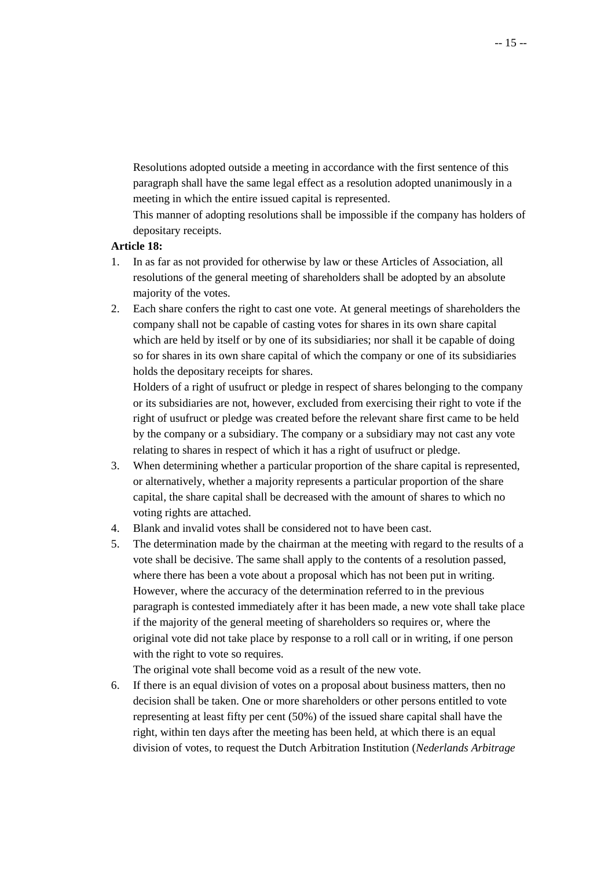Resolutions adopted outside a meeting in accordance with the first sentence of this paragraph shall have the same legal effect as a resolution adopted unanimously in a meeting in which the entire issued capital is represented.

 This manner of adopting resolutions shall be impossible if the company has holders of depositary receipts.

#### **Article 18:**

- 1. In as far as not provided for otherwise by law or these Articles of Association, all resolutions of the general meeting of shareholders shall be adopted by an absolute majority of the votes.
- 2. Each share confers the right to cast one vote. At general meetings of shareholders the company shall not be capable of casting votes for shares in its own share capital which are held by itself or by one of its subsidiaries; nor shall it be capable of doing so for shares in its own share capital of which the company or one of its subsidiaries holds the depositary receipts for shares.

 Holders of a right of usufruct or pledge in respect of shares belonging to the company or its subsidiaries are not, however, excluded from exercising their right to vote if the right of usufruct or pledge was created before the relevant share first came to be held by the company or a subsidiary. The company or a subsidiary may not cast any vote relating to shares in respect of which it has a right of usufruct or pledge.

- 3. When determining whether a particular proportion of the share capital is represented, or alternatively, whether a majority represents a particular proportion of the share capital, the share capital shall be decreased with the amount of shares to which no voting rights are attached.
- 4. Blank and invalid votes shall be considered not to have been cast.
- 5. The determination made by the chairman at the meeting with regard to the results of a vote shall be decisive. The same shall apply to the contents of a resolution passed, where there has been a vote about a proposal which has not been put in writing. However, where the accuracy of the determination referred to in the previous paragraph is contested immediately after it has been made, a new vote shall take place if the majority of the general meeting of shareholders so requires or, where the original vote did not take place by response to a roll call or in writing, if one person with the right to vote so requires.

The original vote shall become void as a result of the new vote.

6. If there is an equal division of votes on a proposal about business matters, then no decision shall be taken. One or more shareholders or other persons entitled to vote representing at least fifty per cent (50%) of the issued share capital shall have the right, within ten days after the meeting has been held, at which there is an equal division of votes, to request the Dutch Arbitration Institution (*Nederlands Arbitrage*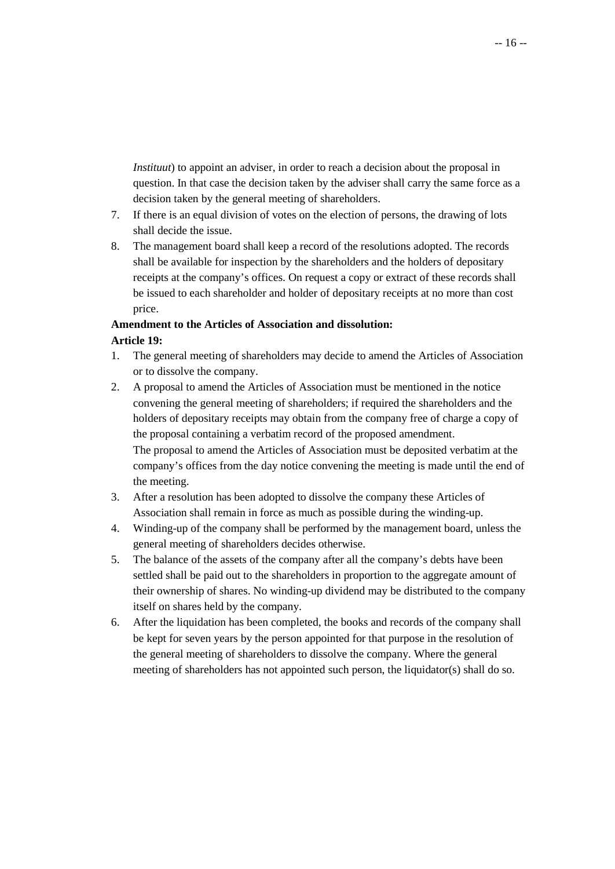*Instituut*) to appoint an adviser, in order to reach a decision about the proposal in question. In that case the decision taken by the adviser shall carry the same force as a decision taken by the general meeting of shareholders.

- 7. If there is an equal division of votes on the election of persons, the drawing of lots shall decide the issue.
- 8. The management board shall keep a record of the resolutions adopted. The records shall be available for inspection by the shareholders and the holders of depositary receipts at the company's offices. On request a copy or extract of these records shall be issued to each shareholder and holder of depositary receipts at no more than cost price.

# **Amendment to the Articles of Association and dissolution: Article 19:**

- 1. The general meeting of shareholders may decide to amend the Articles of Association or to dissolve the company.
- 2. A proposal to amend the Articles of Association must be mentioned in the notice convening the general meeting of shareholders; if required the shareholders and the holders of depositary receipts may obtain from the company free of charge a copy of the proposal containing a verbatim record of the proposed amendment. The proposal to amend the Articles of Association must be deposited verbatim at the company's offices from the day notice convening the meeting is made until the end of the meeting.
- 3. After a resolution has been adopted to dissolve the company these Articles of Association shall remain in force as much as possible during the winding-up.
- 4. Winding-up of the company shall be performed by the management board, unless the general meeting of shareholders decides otherwise.
- 5. The balance of the assets of the company after all the company's debts have been settled shall be paid out to the shareholders in proportion to the aggregate amount of their ownership of shares. No winding-up dividend may be distributed to the company itself on shares held by the company.
- 6. After the liquidation has been completed, the books and records of the company shall be kept for seven years by the person appointed for that purpose in the resolution of the general meeting of shareholders to dissolve the company. Where the general meeting of shareholders has not appointed such person, the liquidator(s) shall do so.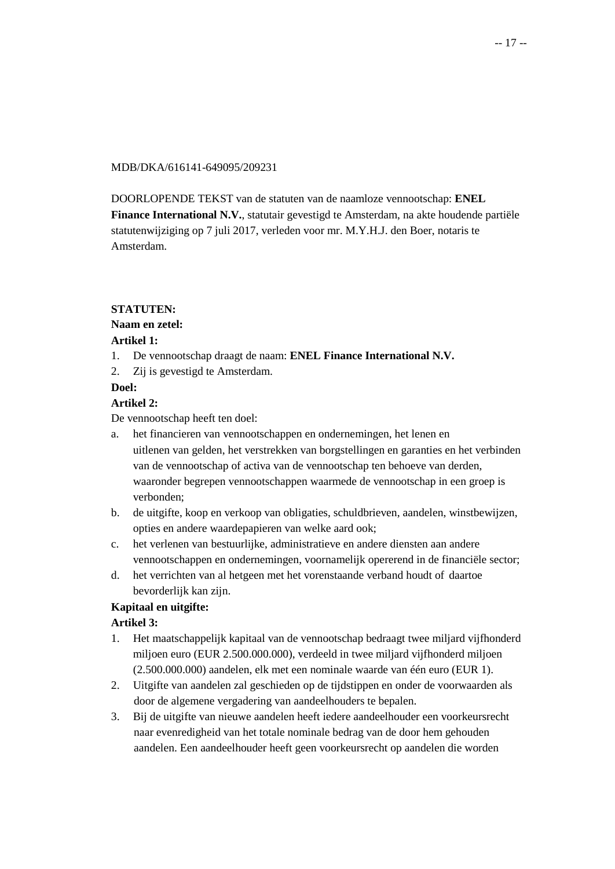#### MDB/DKA/616141-649095/209231

DOORLOPENDE TEKST van de statuten van de naamloze vennootschap: **ENEL Finance International N.V.**, statutair gevestigd te Amsterdam, na akte houdende partiële statutenwijziging op 7 juli 2017, verleden voor mr. M.Y.H.J. den Boer, notaris te Amsterdam.

### **STATUTEN:**

### **Naam en zetel:**

### **Artikel 1:**

- 1. De vennootschap draagt de naam: **ENEL Finance International N.V.**
- 2. Zij is gevestigd te Amsterdam.

#### **Doel:**

### **Artikel 2:**

De vennootschap heeft ten doel:

- a. het financieren van vennootschappen en ondernemingen, het lenen en uitlenen van gelden, het verstrekken van borgstellingen en garanties en het verbinden van de vennootschap of activa van de vennootschap ten behoeve van derden, waaronder begrepen vennootschappen waarmede de vennootschap in een groep is verbonden;
- b. de uitgifte, koop en verkoop van obligaties, schuldbrieven, aandelen, winstbewijzen, opties en andere waardepapieren van welke aard ook;
- c. het verlenen van bestuurlijke, administratieve en andere diensten aan andere vennootschappen en ondernemingen, voornamelijk opererend in de financiële sector;
- d. het verrichten van al hetgeen met het vorenstaande verband houdt of daartoe bevorderlijk kan zijn.

# **Kapitaal en uitgifte:**

#### **Artikel 3:**

- 1. Het maatschappelijk kapitaal van de vennootschap bedraagt twee miljard vijfhonderd miljoen euro (EUR 2.500.000.000), verdeeld in twee miljard vijfhonderd miljoen (2.500.000.000) aandelen, elk met een nominale waarde van één euro (EUR 1).
- 2. Uitgifte van aandelen zal geschieden op de tijdstippen en onder de voorwaarden als door de algemene vergadering van aandeelhouders te bepalen.
- 3. Bij de uitgifte van nieuwe aandelen heeft iedere aandeelhouder een voorkeursrecht naar evenredigheid van het totale nominale bedrag van de door hem gehouden aandelen. Een aandeelhouder heeft geen voorkeursrecht op aandelen die worden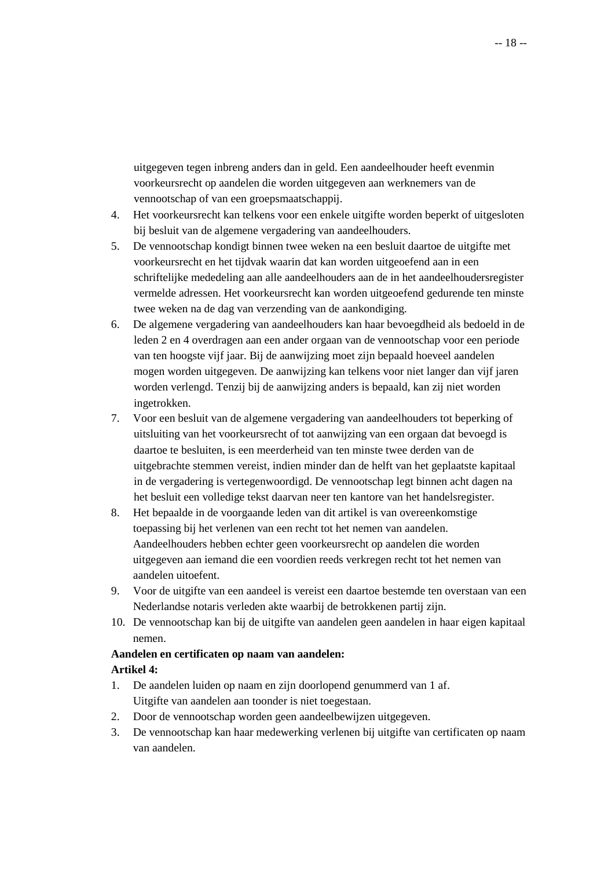uitgegeven tegen inbreng anders dan in geld. Een aandeelhouder heeft evenmin voorkeursrecht op aandelen die worden uitgegeven aan werknemers van de vennootschap of van een groepsmaatschappij.

- 4. Het voorkeursrecht kan telkens voor een enkele uitgifte worden beperkt of uitgesloten bij besluit van de algemene vergadering van aandeelhouders.
- 5. De vennootschap kondigt binnen twee weken na een besluit daartoe de uitgifte met voorkeursrecht en het tijdvak waarin dat kan worden uitgeoefend aan in een schriftelijke mededeling aan alle aandeelhouders aan de in het aandeelhoudersregister vermelde adressen. Het voorkeursrecht kan worden uitgeoefend gedurende ten minste twee weken na de dag van verzending van de aankondiging.
- 6. De algemene vergadering van aandeelhouders kan haar bevoegdheid als bedoeld in de leden 2 en 4 overdragen aan een ander orgaan van de vennootschap voor een periode van ten hoogste vijf jaar. Bij de aanwijzing moet zijn bepaald hoeveel aandelen mogen worden uitgegeven. De aanwijzing kan telkens voor niet langer dan vijf jaren worden verlengd. Tenzij bij de aanwijzing anders is bepaald, kan zij niet worden ingetrokken.
- 7. Voor een besluit van de algemene vergadering van aandeelhouders tot beperking of uitsluiting van het voorkeursrecht of tot aanwijzing van een orgaan dat bevoegd is daartoe te besluiten, is een meerderheid van ten minste twee derden van de uitgebrachte stemmen vereist, indien minder dan de helft van het geplaatste kapitaal in de vergadering is vertegenwoordigd. De vennootschap legt binnen acht dagen na het besluit een volledige tekst daarvan neer ten kantore van het handelsregister.
- 8. Het bepaalde in de voorgaande leden van dit artikel is van overeenkomstige toepassing bij het verlenen van een recht tot het nemen van aandelen. Aandeelhouders hebben echter geen voorkeursrecht op aandelen die worden uitgegeven aan iemand die een voordien reeds verkregen recht tot het nemen van aandelen uitoefent.
- 9. Voor de uitgifte van een aandeel is vereist een daartoe bestemde ten overstaan van een Nederlandse notaris verleden akte waarbij de betrokkenen partij zijn.
- 10. De vennootschap kan bij de uitgifte van aandelen geen aandelen in haar eigen kapitaal nemen.

# **Aandelen en certificaten op naam van aandelen:**

# **Artikel 4:**

- 1. De aandelen luiden op naam en zijn doorlopend genummerd van 1 af. Uitgifte van aandelen aan toonder is niet toegestaan.
- 2. Door de vennootschap worden geen aandeelbewijzen uitgegeven.
- 3. De vennootschap kan haar medewerking verlenen bij uitgifte van certificaten op naam van aandelen.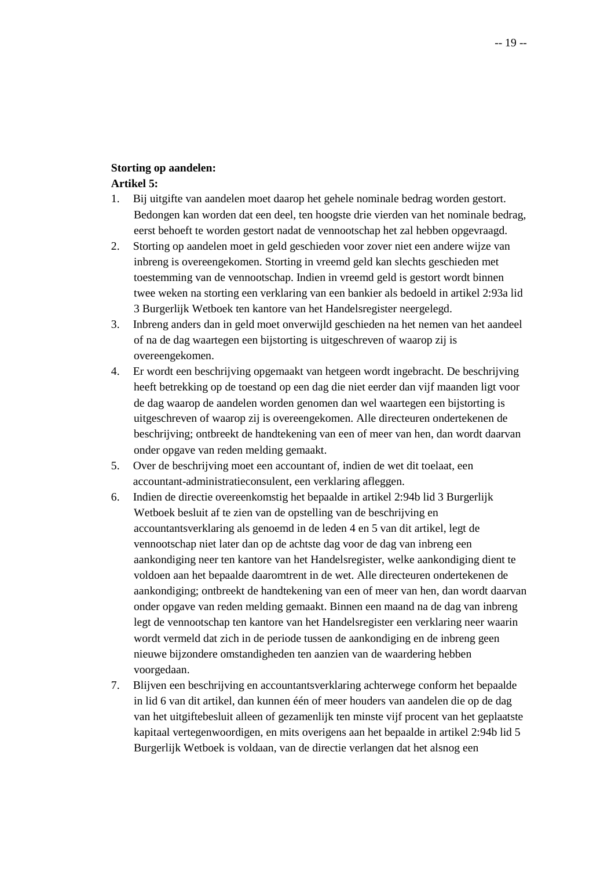#### **Storting op aandelen:**

#### **Artikel 5:**

- 1. Bij uitgifte van aandelen moet daarop het gehele nominale bedrag worden gestort. Bedongen kan worden dat een deel, ten hoogste drie vierden van het nominale bedrag, eerst behoeft te worden gestort nadat de vennootschap het zal hebben opgevraagd.
- 2. Storting op aandelen moet in geld geschieden voor zover niet een andere wijze van inbreng is overeengekomen. Storting in vreemd geld kan slechts geschieden met toestemming van de vennootschap. Indien in vreemd geld is gestort wordt binnen twee weken na storting een verklaring van een bankier als bedoeld in artikel 2:93a lid 3 Burgerlijk Wetboek ten kantore van het Handelsregister neergelegd.
- 3. Inbreng anders dan in geld moet onverwijld geschieden na het nemen van het aandeel of na de dag waartegen een bijstorting is uitgeschreven of waarop zij is overeengekomen.
- 4. Er wordt een beschrijving opgemaakt van hetgeen wordt ingebracht. De beschrijving heeft betrekking op de toestand op een dag die niet eerder dan vijf maanden ligt voor de dag waarop de aandelen worden genomen dan wel waartegen een bijstorting is uitgeschreven of waarop zij is overeengekomen. Alle directeuren ondertekenen de beschrijving; ontbreekt de handtekening van een of meer van hen, dan wordt daarvan onder opgave van reden melding gemaakt.
- 5. Over de beschrijving moet een accountant of, indien de wet dit toelaat, een accountant-administratieconsulent, een verklaring afleggen.
- 6. Indien de directie overeenkomstig het bepaalde in artikel 2:94b lid 3 Burgerlijk Wetboek besluit af te zien van de opstelling van de beschrijving en accountantsverklaring als genoemd in de leden 4 en 5 van dit artikel, legt de vennootschap niet later dan op de achtste dag voor de dag van inbreng een aankondiging neer ten kantore van het Handelsregister, welke aankondiging dient te voldoen aan het bepaalde daaromtrent in de wet. Alle directeuren ondertekenen de aankondiging; ontbreekt de handtekening van een of meer van hen, dan wordt daarvan onder opgave van reden melding gemaakt. Binnen een maand na de dag van inbreng legt de vennootschap ten kantore van het Handelsregister een verklaring neer waarin wordt vermeld dat zich in de periode tussen de aankondiging en de inbreng geen nieuwe bijzondere omstandigheden ten aanzien van de waardering hebben voorgedaan.
- 7. Blijven een beschrijving en accountantsverklaring achterwege conform het bepaalde in lid 6 van dit artikel, dan kunnen één of meer houders van aandelen die op de dag van het uitgiftebesluit alleen of gezamenlijk ten minste vijf procent van het geplaatste kapitaal vertegenwoordigen, en mits overigens aan het bepaalde in artikel 2:94b lid 5 Burgerlijk Wetboek is voldaan, van de directie verlangen dat het alsnog een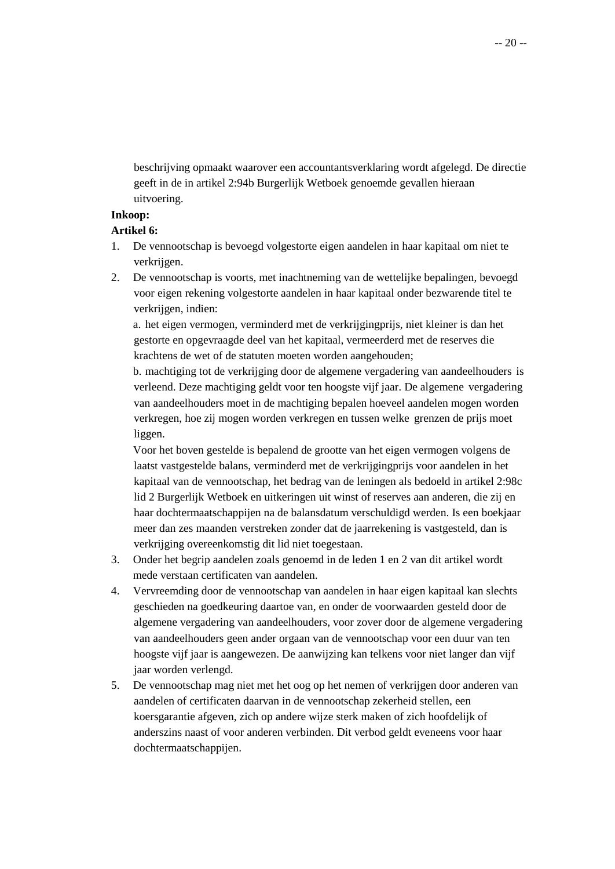beschrijving opmaakt waarover een accountantsverklaring wordt afgelegd. De directie geeft in de in artikel 2:94b Burgerlijk Wetboek genoemde gevallen hieraan uitvoering.

#### **Inkoop:**

#### **Artikel 6:**

- 1. De vennootschap is bevoegd volgestorte eigen aandelen in haar kapitaal om niet te verkrijgen.
- 2. De vennootschap is voorts, met inachtneming van de wettelijke bepalingen, bevoegd voor eigen rekening volgestorte aandelen in haar kapitaal onder bezwarende titel te verkrijgen, indien:

a. het eigen vermogen, verminderd met de verkrijgingprijs, niet kleiner is dan het gestorte en opgevraagde deel van het kapitaal, vermeerderd met de reserves die krachtens de wet of de statuten moeten worden aangehouden;

b. machtiging tot de verkrijging door de algemene vergadering van aandeelhouders is verleend. Deze machtiging geldt voor ten hoogste vijf jaar. De algemene vergadering van aandeelhouders moet in de machtiging bepalen hoeveel aandelen mogen worden verkregen, hoe zij mogen worden verkregen en tussen welke grenzen de prijs moet liggen.

Voor het boven gestelde is bepalend de grootte van het eigen vermogen volgens de laatst vastgestelde balans, verminderd met de verkrijgingprijs voor aandelen in het kapitaal van de vennootschap, het bedrag van de leningen als bedoeld in artikel 2:98c lid 2 Burgerlijk Wetboek en uitkeringen uit winst of reserves aan anderen, die zij en haar dochtermaatschappijen na de balansdatum verschuldigd werden. Is een boekjaar meer dan zes maanden verstreken zonder dat de jaarrekening is vastgesteld, dan is verkrijging overeenkomstig dit lid niet toegestaan.

- 3. Onder het begrip aandelen zoals genoemd in de leden 1 en 2 van dit artikel wordt mede verstaan certificaten van aandelen.
- 4. Vervreemding door de vennootschap van aandelen in haar eigen kapitaal kan slechts geschieden na goedkeuring daartoe van, en onder de voorwaarden gesteld door de algemene vergadering van aandeelhouders, voor zover door de algemene vergadering van aandeelhouders geen ander orgaan van de vennootschap voor een duur van ten hoogste vijf jaar is aangewezen. De aanwijzing kan telkens voor niet langer dan vijf jaar worden verlengd.
- 5. De vennootschap mag niet met het oog op het nemen of verkrijgen door anderen van aandelen of certificaten daarvan in de vennootschap zekerheid stellen, een koersgarantie afgeven, zich op andere wijze sterk maken of zich hoofdelijk of anderszins naast of voor anderen verbinden. Dit verbod geldt eveneens voor haar dochtermaatschappijen.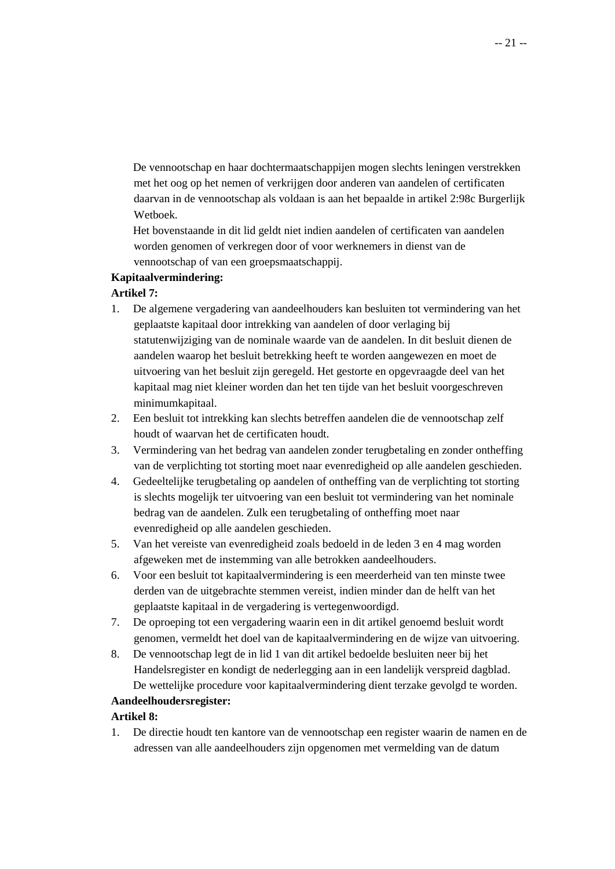De vennootschap en haar dochtermaatschappijen mogen slechts leningen verstrekken met het oog op het nemen of verkrijgen door anderen van aandelen of certificaten daarvan in de vennootschap als voldaan is aan het bepaalde in artikel 2:98c Burgerlijk Wetboek.

Het bovenstaande in dit lid geldt niet indien aandelen of certificaten van aandelen worden genomen of verkregen door of voor werknemers in dienst van de vennootschap of van een groepsmaatschappij.

### **Kapitaalvermindering:**

### **Artikel 7:**

- 1. De algemene vergadering van aandeelhouders kan besluiten tot vermindering van het geplaatste kapitaal door intrekking van aandelen of door verlaging bij statutenwijziging van de nominale waarde van de aandelen. In dit besluit dienen de aandelen waarop het besluit betrekking heeft te worden aangewezen en moet de uitvoering van het besluit zijn geregeld. Het gestorte en opgevraagde deel van het kapitaal mag niet kleiner worden dan het ten tijde van het besluit voorgeschreven minimumkapitaal.
- 2. Een besluit tot intrekking kan slechts betreffen aandelen die de vennootschap zelf houdt of waarvan het de certificaten houdt.
- 3. Vermindering van het bedrag van aandelen zonder terugbetaling en zonder ontheffing van de verplichting tot storting moet naar evenredigheid op alle aandelen geschieden.
- 4. Gedeeltelijke terugbetaling op aandelen of ontheffing van de verplichting tot storting is slechts mogelijk ter uitvoering van een besluit tot vermindering van het nominale bedrag van de aandelen. Zulk een terugbetaling of ontheffing moet naar evenredigheid op alle aandelen geschieden.
- 5. Van het vereiste van evenredigheid zoals bedoeld in de leden 3 en 4 mag worden afgeweken met de instemming van alle betrokken aandeelhouders.
- 6. Voor een besluit tot kapitaalvermindering is een meerderheid van ten minste twee derden van de uitgebrachte stemmen vereist, indien minder dan de helft van het geplaatste kapitaal in de vergadering is vertegenwoordigd.
- 7. De oproeping tot een vergadering waarin een in dit artikel genoemd besluit wordt genomen, vermeldt het doel van de kapitaalvermindering en de wijze van uitvoering.
- 8. De vennootschap legt de in lid 1 van dit artikel bedoelde besluiten neer bij het Handelsregister en kondigt de nederlegging aan in een landelijk verspreid dagblad. De wettelijke procedure voor kapitaalvermindering dient terzake gevolgd te worden.

# **Aandeelhoudersregister:**

#### **Artikel 8:**

1. De directie houdt ten kantore van de vennootschap een register waarin de namen en de adressen van alle aandeelhouders zijn opgenomen met vermelding van de datum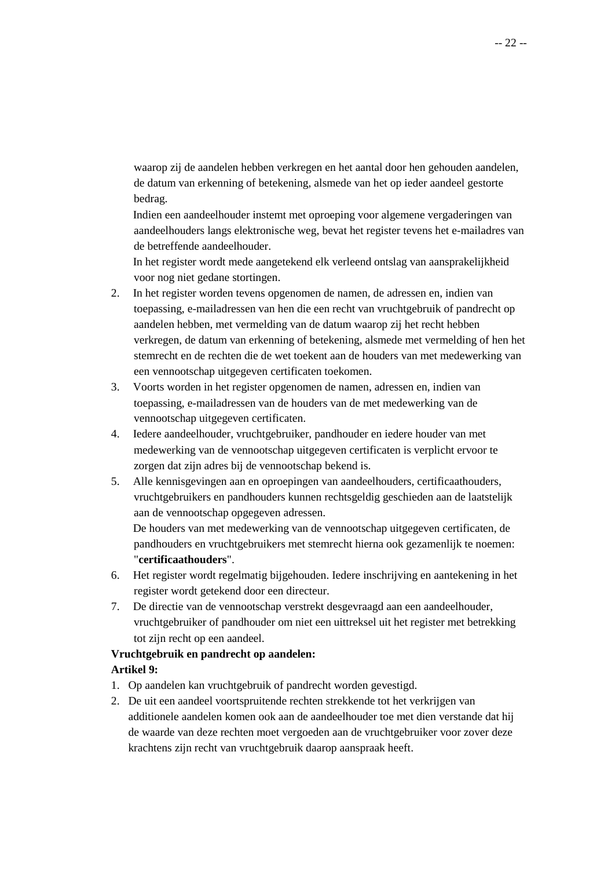waarop zij de aandelen hebben verkregen en het aantal door hen gehouden aandelen, de datum van erkenning of betekening, alsmede van het op ieder aandeel gestorte bedrag.

Indien een aandeelhouder instemt met oproeping voor algemene vergaderingen van aandeelhouders langs elektronische weg, bevat het register tevens het e-mailadres van de betreffende aandeelhouder.

In het register wordt mede aangetekend elk verleend ontslag van aansprakelijkheid voor nog niet gedane stortingen.

- 2. In het register worden tevens opgenomen de namen, de adressen en, indien van toepassing, e-mailadressen van hen die een recht van vruchtgebruik of pandrecht op aandelen hebben, met vermelding van de datum waarop zij het recht hebben verkregen, de datum van erkenning of betekening, alsmede met vermelding of hen het stemrecht en de rechten die de wet toekent aan de houders van met medewerking van een vennootschap uitgegeven certificaten toekomen.
- 3. Voorts worden in het register opgenomen de namen, adressen en, indien van toepassing, e-mailadressen van de houders van de met medewerking van de vennootschap uitgegeven certificaten.
- 4. Iedere aandeelhouder, vruchtgebruiker, pandhouder en iedere houder van met medewerking van de vennootschap uitgegeven certificaten is verplicht ervoor te zorgen dat zijn adres bij de vennootschap bekend is.
- 5. Alle kennisgevingen aan en oproepingen van aandeelhouders, certificaathouders, vruchtgebruikers en pandhouders kunnen rechtsgeldig geschieden aan de laatstelijk aan de vennootschap opgegeven adressen.

De houders van met medewerking van de vennootschap uitgegeven certificaten, de pandhouders en vruchtgebruikers met stemrecht hierna ook gezamenlijk te noemen: "**certificaathouders**".

- 6. Het register wordt regelmatig bijgehouden. Iedere inschrijving en aantekening in het register wordt getekend door een directeur.
- 7. De directie van de vennootschap verstrekt desgevraagd aan een aandeelhouder, vruchtgebruiker of pandhouder om niet een uittreksel uit het register met betrekking tot zijn recht op een aandeel.

# **Vruchtgebruik en pandrecht op aandelen:**

# **Artikel 9:**

- 1. Op aandelen kan vruchtgebruik of pandrecht worden gevestigd.
- 2. De uit een aandeel voortspruitende rechten strekkende tot het verkrijgen van additionele aandelen komen ook aan de aandeelhouder toe met dien verstande dat hij de waarde van deze rechten moet vergoeden aan de vruchtgebruiker voor zover deze krachtens zijn recht van vruchtgebruik daarop aanspraak heeft.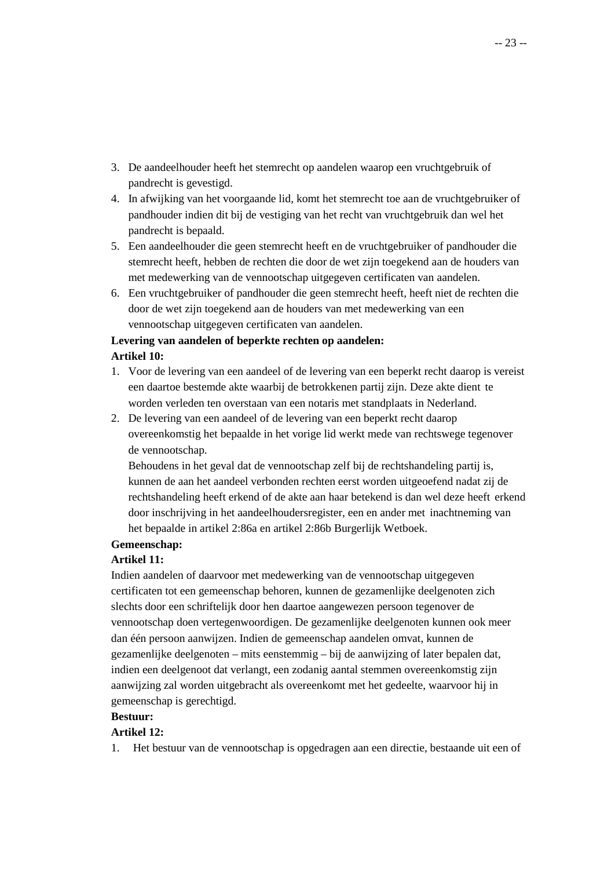- 3. De aandeelhouder heeft het stemrecht op aandelen waarop een vruchtgebruik of pandrecht is gevestigd.
- 4. In afwijking van het voorgaande lid, komt het stemrecht toe aan de vruchtgebruiker of pandhouder indien dit bij de vestiging van het recht van vruchtgebruik dan wel het pandrecht is bepaald.
- 5. Een aandeelhouder die geen stemrecht heeft en de vruchtgebruiker of pandhouder die stemrecht heeft, hebben de rechten die door de wet zijn toegekend aan de houders van met medewerking van de vennootschap uitgegeven certificaten van aandelen.
- 6. Een vruchtgebruiker of pandhouder die geen stemrecht heeft, heeft niet de rechten die door de wet zijn toegekend aan de houders van met medewerking van een vennootschap uitgegeven certificaten van aandelen.

# **Levering van aandelen of beperkte rechten op aandelen: Artikel 10:**

- 1. Voor de levering van een aandeel of de levering van een beperkt recht daarop is vereist een daartoe bestemde akte waarbij de betrokkenen partij zijn. Deze akte dient te worden verleden ten overstaan van een notaris met standplaats in Nederland.
- 2. De levering van een aandeel of de levering van een beperkt recht daarop overeenkomstig het bepaalde in het vorige lid werkt mede van rechtswege tegenover de vennootschap.

Behoudens in het geval dat de vennootschap zelf bij de rechtshandeling partij is, kunnen de aan het aandeel verbonden rechten eerst worden uitgeoefend nadat zij de rechtshandeling heeft erkend of de akte aan haar betekend is dan wel deze heeft erkend door inschrijving in het aandeelhoudersregister, een en ander met inachtneming van het bepaalde in artikel 2:86a en artikel 2:86b Burgerlijk Wetboek.

# **Gemeenschap:**

# **Artikel 11:**

Indien aandelen of daarvoor met medewerking van de vennootschap uitgegeven certificaten tot een gemeenschap behoren, kunnen de gezamenlijke deelgenoten zich slechts door een schriftelijk door hen daartoe aangewezen persoon tegenover de vennootschap doen vertegenwoordigen. De gezamenlijke deelgenoten kunnen ook meer dan één persoon aanwijzen. Indien de gemeenschap aandelen omvat, kunnen de gezamenlijke deelgenoten – mits eenstemmig – bij de aanwijzing of later bepalen dat, indien een deelgenoot dat verlangt, een zodanig aantal stemmen overeenkomstig zijn aanwijzing zal worden uitgebracht als overeenkomt met het gedeelte, waarvoor hij in gemeenschap is gerechtigd.

#### **Bestuur:**

# **Artikel 12:**

1. Het bestuur van de vennootschap is opgedragen aan een directie, bestaande uit een of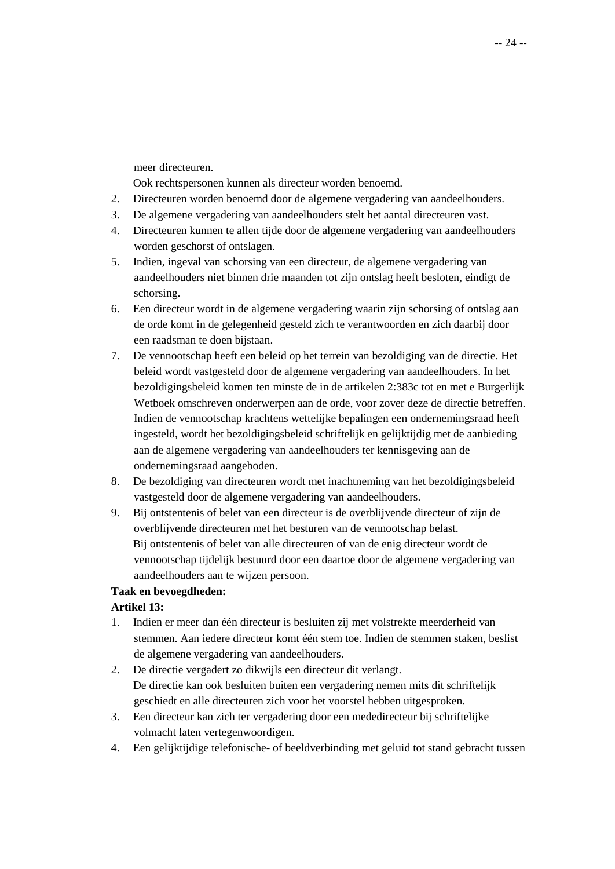meer directeuren.

Ook rechtspersonen kunnen als directeur worden benoemd.

- 2. Directeuren worden benoemd door de algemene vergadering van aandeelhouders.
- 3. De algemene vergadering van aandeelhouders stelt het aantal directeuren vast.
- 4. Directeuren kunnen te allen tijde door de algemene vergadering van aandeelhouders worden geschorst of ontslagen.
- 5. Indien, ingeval van schorsing van een directeur, de algemene vergadering van aandeelhouders niet binnen drie maanden tot zijn ontslag heeft besloten, eindigt de schorsing.
- 6. Een directeur wordt in de algemene vergadering waarin zijn schorsing of ontslag aan de orde komt in de gelegenheid gesteld zich te verantwoorden en zich daarbij door een raadsman te doen bijstaan.
- 7. De vennootschap heeft een beleid op het terrein van bezoldiging van de directie. Het beleid wordt vastgesteld door de algemene vergadering van aandeelhouders. In het bezoldigingsbeleid komen ten minste de in de artikelen 2:383c tot en met e Burgerlijk Wetboek omschreven onderwerpen aan de orde, voor zover deze de directie betreffen. Indien de vennootschap krachtens wettelijke bepalingen een ondernemingsraad heeft ingesteld, wordt het bezoldigingsbeleid schriftelijk en gelijktijdig met de aanbieding aan de algemene vergadering van aandeelhouders ter kennisgeving aan de ondernemingsraad aangeboden.
- 8. De bezoldiging van directeuren wordt met inachtneming van het bezoldigingsbeleid vastgesteld door de algemene vergadering van aandeelhouders.
- 9. Bij ontstentenis of belet van een directeur is de overblijvende directeur of zijn de overblijvende directeuren met het besturen van de vennootschap belast. Bij ontstentenis of belet van alle directeuren of van de enig directeur wordt de vennootschap tijdelijk bestuurd door een daartoe door de algemene vergadering van aandeelhouders aan te wijzen persoon.

# **Taak en bevoegdheden:**

#### **Artikel 13:**

- 1. Indien er meer dan één directeur is besluiten zij met volstrekte meerderheid van stemmen. Aan iedere directeur komt één stem toe. Indien de stemmen staken, beslist de algemene vergadering van aandeelhouders.
- 2. De directie vergadert zo dikwijls een directeur dit verlangt. De directie kan ook besluiten buiten een vergadering nemen mits dit schriftelijk geschiedt en alle directeuren zich voor het voorstel hebben uitgesproken.
- 3. Een directeur kan zich ter vergadering door een mededirecteur bij schriftelijke volmacht laten vertegenwoordigen.
- 4. Een gelijktijdige telefonische- of beeldverbinding met geluid tot stand gebracht tussen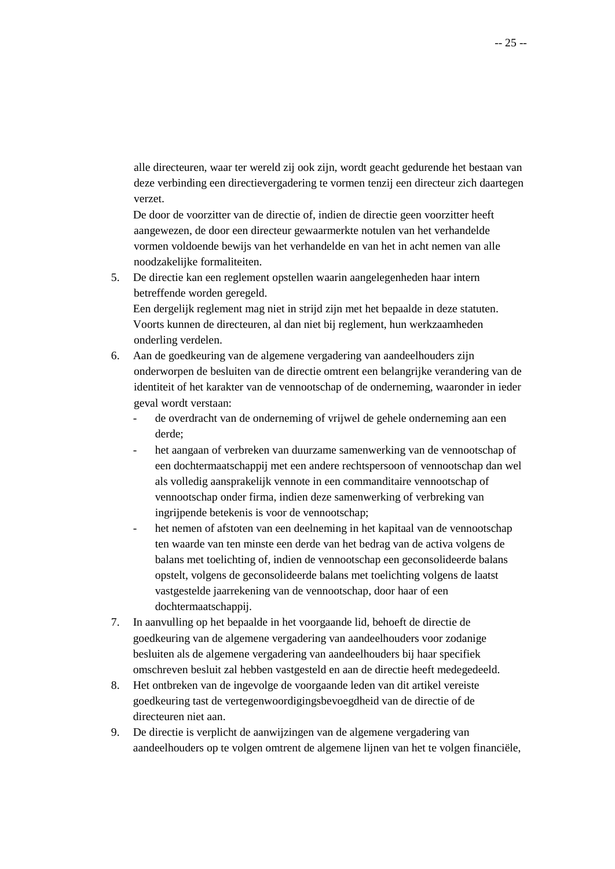alle directeuren, waar ter wereld zij ook zijn, wordt geacht gedurende het bestaan van deze verbinding een directievergadering te vormen tenzij een directeur zich daartegen verzet.

De door de voorzitter van de directie of, indien de directie geen voorzitter heeft aangewezen, de door een directeur gewaarmerkte notulen van het verhandelde vormen voldoende bewijs van het verhandelde en van het in acht nemen van alle noodzakelijke formaliteiten.

5. De directie kan een reglement opstellen waarin aangelegenheden haar intern betreffende worden geregeld.

Een dergelijk reglement mag niet in strijd zijn met het bepaalde in deze statuten. Voorts kunnen de directeuren, al dan niet bij reglement, hun werkzaamheden onderling verdelen.

- 6. Aan de goedkeuring van de algemene vergadering van aandeelhouders zijn onderworpen de besluiten van de directie omtrent een belangrijke verandering van de identiteit of het karakter van de vennootschap of de onderneming, waaronder in ieder geval wordt verstaan:
	- de overdracht van de onderneming of vrijwel de gehele onderneming aan een derde;
	- het aangaan of verbreken van duurzame samenwerking van de vennootschap of een dochtermaatschappij met een andere rechtspersoon of vennootschap dan wel als volledig aansprakelijk vennote in een commanditaire vennootschap of vennootschap onder firma, indien deze samenwerking of verbreking van ingrijpende betekenis is voor de vennootschap;
	- het nemen of afstoten van een deelneming in het kapitaal van de vennootschap ten waarde van ten minste een derde van het bedrag van de activa volgens de balans met toelichting of, indien de vennootschap een geconsolideerde balans opstelt, volgens de geconsolideerde balans met toelichting volgens de laatst vastgestelde jaarrekening van de vennootschap, door haar of een dochtermaatschappij.
- 7. In aanvulling op het bepaalde in het voorgaande lid, behoeft de directie de goedkeuring van de algemene vergadering van aandeelhouders voor zodanige besluiten als de algemene vergadering van aandeelhouders bij haar specifiek omschreven besluit zal hebben vastgesteld en aan de directie heeft medegedeeld.
- 8. Het ontbreken van de ingevolge de voorgaande leden van dit artikel vereiste goedkeuring tast de vertegenwoordigingsbevoegdheid van de directie of de directeuren niet aan.
- 9. De directie is verplicht de aanwijzingen van de algemene vergadering van aandeelhouders op te volgen omtrent de algemene lijnen van het te volgen financiële,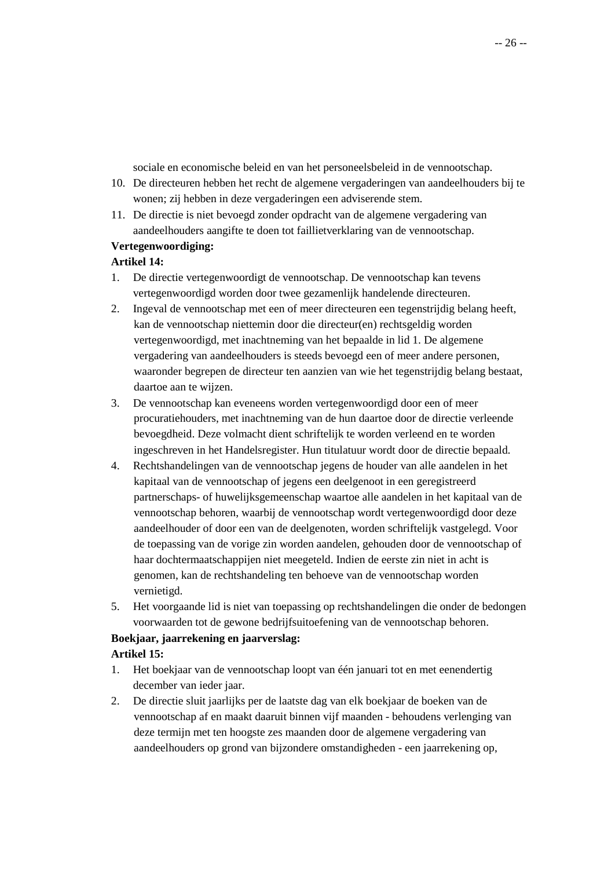sociale en economische beleid en van het personeelsbeleid in de vennootschap.

- 10. De directeuren hebben het recht de algemene vergaderingen van aandeelhouders bij te wonen; zij hebben in deze vergaderingen een adviserende stem.
- 11. De directie is niet bevoegd zonder opdracht van de algemene vergadering van aandeelhouders aangifte te doen tot faillietverklaring van de vennootschap.

#### **Vertegenwoordiging:**

### **Artikel 14:**

- 1. De directie vertegenwoordigt de vennootschap. De vennootschap kan tevens vertegenwoordigd worden door twee gezamenlijk handelende directeuren.
- 2. Ingeval de vennootschap met een of meer directeuren een tegenstrijdig belang heeft, kan de vennootschap niettemin door die directeur(en) rechtsgeldig worden vertegenwoordigd, met inachtneming van het bepaalde in lid 1. De algemene vergadering van aandeelhouders is steeds bevoegd een of meer andere personen, waaronder begrepen de directeur ten aanzien van wie het tegenstrijdig belang bestaat, daartoe aan te wijzen.
- 3. De vennootschap kan eveneens worden vertegenwoordigd door een of meer procuratiehouders, met inachtneming van de hun daartoe door de directie verleende bevoegdheid. Deze volmacht dient schriftelijk te worden verleend en te worden ingeschreven in het Handelsregister. Hun titulatuur wordt door de directie bepaald.
- 4. Rechtshandelingen van de vennootschap jegens de houder van alle aandelen in het kapitaal van de vennootschap of jegens een deelgenoot in een geregistreerd partnerschaps- of huwelijksgemeenschap waartoe alle aandelen in het kapitaal van de vennootschap behoren, waarbij de vennootschap wordt vertegenwoordigd door deze aandeelhouder of door een van de deelgenoten, worden schriftelijk vastgelegd. Voor de toepassing van de vorige zin worden aandelen, gehouden door de vennootschap of haar dochtermaatschappijen niet meegeteld. Indien de eerste zin niet in acht is genomen, kan de rechtshandeling ten behoeve van de vennootschap worden vernietigd.
- 5. Het voorgaande lid is niet van toepassing op rechtshandelingen die onder de bedongen voorwaarden tot de gewone bedrijfsuitoefening van de vennootschap behoren.

#### **Boekjaar, jaarrekening en jaarverslag:**

#### **Artikel 15:**

- 1. Het boekjaar van de vennootschap loopt van één januari tot en met eenendertig december van ieder jaar.
- 2. De directie sluit jaarlijks per de laatste dag van elk boekjaar de boeken van de vennootschap af en maakt daaruit binnen vijf maanden - behoudens verlenging van deze termijn met ten hoogste zes maanden door de algemene vergadering van aandeelhouders op grond van bijzondere omstandigheden - een jaarrekening op,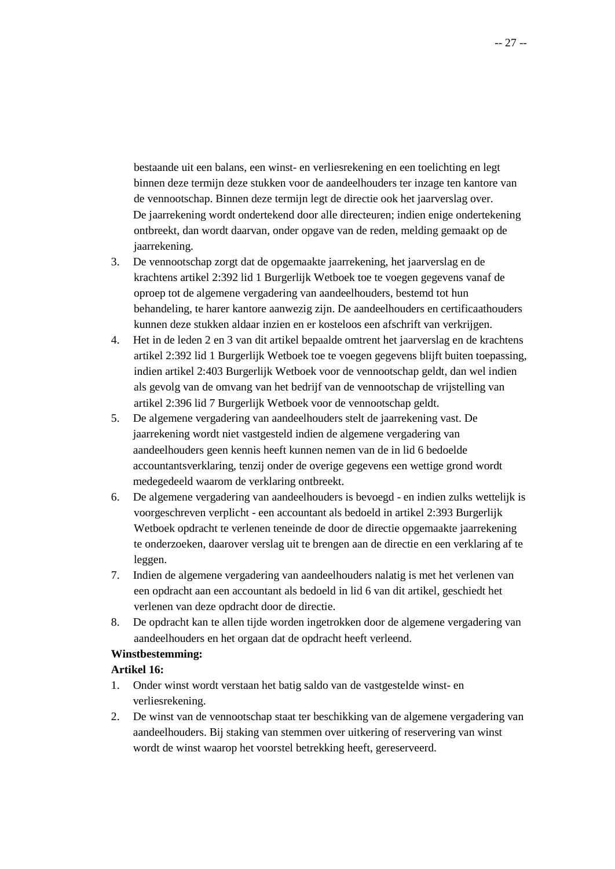bestaande uit een balans, een winst- en verliesrekening en een toelichting en legt binnen deze termijn deze stukken voor de aandeelhouders ter inzage ten kantore van de vennootschap. Binnen deze termijn legt de directie ook het jaarverslag over. De jaarrekening wordt ondertekend door alle directeuren; indien enige ondertekening ontbreekt, dan wordt daarvan, onder opgave van de reden, melding gemaakt op de jaarrekening.

- 3. De vennootschap zorgt dat de opgemaakte jaarrekening, het jaarverslag en de krachtens artikel 2:392 lid 1 Burgerlijk Wetboek toe te voegen gegevens vanaf de oproep tot de algemene vergadering van aandeelhouders, bestemd tot hun behandeling, te harer kantore aanwezig zijn. De aandeelhouders en certificaathouders kunnen deze stukken aldaar inzien en er kosteloos een afschrift van verkrijgen.
- 4. Het in de leden 2 en 3 van dit artikel bepaalde omtrent het jaarverslag en de krachtens artikel 2:392 lid 1 Burgerlijk Wetboek toe te voegen gegevens blijft buiten toepassing, indien artikel 2:403 Burgerlijk Wetboek voor de vennootschap geldt, dan wel indien als gevolg van de omvang van het bedrijf van de vennootschap de vrijstelling van artikel 2:396 lid 7 Burgerlijk Wetboek voor de vennootschap geldt.
- 5. De algemene vergadering van aandeelhouders stelt de jaarrekening vast. De jaarrekening wordt niet vastgesteld indien de algemene vergadering van aandeelhouders geen kennis heeft kunnen nemen van de in lid 6 bedoelde accountantsverklaring, tenzij onder de overige gegevens een wettige grond wordt medegedeeld waarom de verklaring ontbreekt.
- 6. De algemene vergadering van aandeelhouders is bevoegd en indien zulks wettelijk is voorgeschreven verplicht - een accountant als bedoeld in artikel 2:393 Burgerlijk Wetboek opdracht te verlenen teneinde de door de directie opgemaakte jaarrekening te onderzoeken, daarover verslag uit te brengen aan de directie en een verklaring af te leggen.
- 7. Indien de algemene vergadering van aandeelhouders nalatig is met het verlenen van een opdracht aan een accountant als bedoeld in lid 6 van dit artikel, geschiedt het verlenen van deze opdracht door de directie.
- 8. De opdracht kan te allen tijde worden ingetrokken door de algemene vergadering van aandeelhouders en het orgaan dat de opdracht heeft verleend.

# **Winstbestemming:**

# **Artikel 16:**

- 1. Onder winst wordt verstaan het batig saldo van de vastgestelde winst- en verliesrekening.
- 2. De winst van de vennootschap staat ter beschikking van de algemene vergadering van aandeelhouders. Bij staking van stemmen over uitkering of reservering van winst wordt de winst waarop het voorstel betrekking heeft, gereserveerd.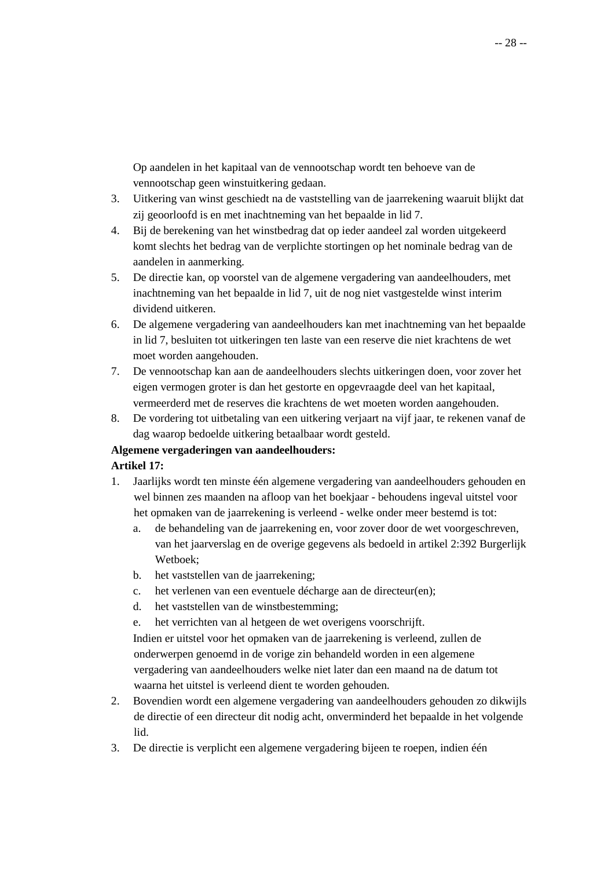Op aandelen in het kapitaal van de vennootschap wordt ten behoeve van de vennootschap geen winstuitkering gedaan.

- 3. Uitkering van winst geschiedt na de vaststelling van de jaarrekening waaruit blijkt dat zij geoorloofd is en met inachtneming van het bepaalde in lid 7.
- 4. Bij de berekening van het winstbedrag dat op ieder aandeel zal worden uitgekeerd komt slechts het bedrag van de verplichte stortingen op het nominale bedrag van de aandelen in aanmerking.
- 5. De directie kan, op voorstel van de algemene vergadering van aandeelhouders, met inachtneming van het bepaalde in lid 7, uit de nog niet vastgestelde winst interim dividend uitkeren.
- 6. De algemene vergadering van aandeelhouders kan met inachtneming van het bepaalde in lid 7, besluiten tot uitkeringen ten laste van een reserve die niet krachtens de wet moet worden aangehouden.
- 7. De vennootschap kan aan de aandeelhouders slechts uitkeringen doen, voor zover het eigen vermogen groter is dan het gestorte en opgevraagde deel van het kapitaal, vermeerderd met de reserves die krachtens de wet moeten worden aangehouden.
- 8. De vordering tot uitbetaling van een uitkering verjaart na vijf jaar, te rekenen vanaf de dag waarop bedoelde uitkering betaalbaar wordt gesteld.

# **Algemene vergaderingen van aandeelhouders:**

# **Artikel 17:**

- 1. Jaarlijks wordt ten minste één algemene vergadering van aandeelhouders gehouden en wel binnen zes maanden na afloop van het boekjaar - behoudens ingeval uitstel voor het opmaken van de jaarrekening is verleend - welke onder meer bestemd is tot:
	- a. de behandeling van de jaarrekening en, voor zover door de wet voorgeschreven, van het jaarverslag en de overige gegevens als bedoeld in artikel 2:392 Burgerlijk Wetboek;
	- b. het vaststellen van de jaarrekening;
	- c. het verlenen van een eventuele décharge aan de directeur(en);
	- d. het vaststellen van de winstbestemming;
	- e. het verrichten van al hetgeen de wet overigens voorschrijft.

Indien er uitstel voor het opmaken van de jaarrekening is verleend, zullen de onderwerpen genoemd in de vorige zin behandeld worden in een algemene vergadering van aandeelhouders welke niet later dan een maand na de datum tot waarna het uitstel is verleend dient te worden gehouden.

- 2. Bovendien wordt een algemene vergadering van aandeelhouders gehouden zo dikwijls de directie of een directeur dit nodig acht, onverminderd het bepaalde in het volgende lid.
- 3. De directie is verplicht een algemene vergadering bijeen te roepen, indien één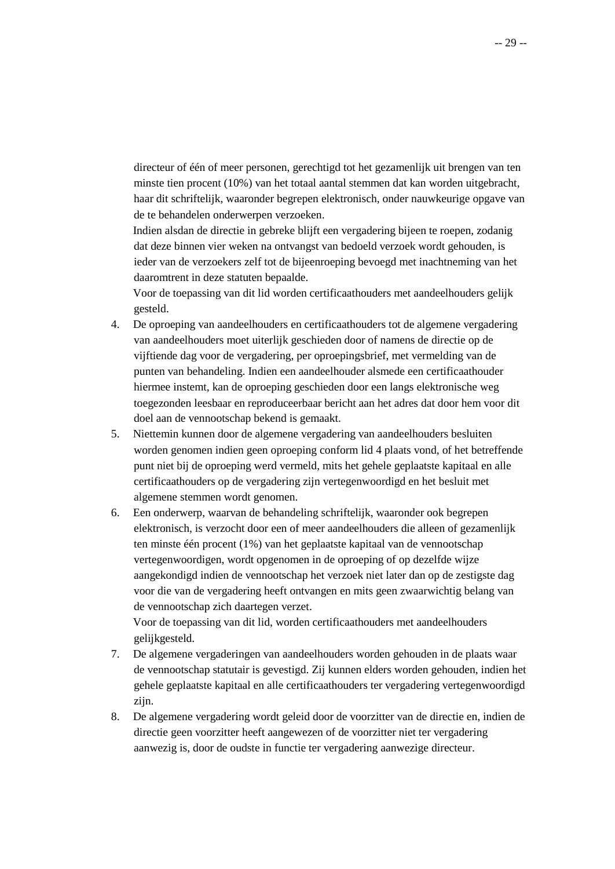directeur of één of meer personen, gerechtigd tot het gezamenlijk uit brengen van ten minste tien procent (10%) van het totaal aantal stemmen dat kan worden uitgebracht, haar dit schriftelijk, waaronder begrepen elektronisch, onder nauwkeurige opgave van de te behandelen onderwerpen verzoeken.

Indien alsdan de directie in gebreke blijft een vergadering bijeen te roepen, zodanig dat deze binnen vier weken na ontvangst van bedoeld verzoek wordt gehouden, is ieder van de verzoekers zelf tot de bijeenroeping bevoegd met inachtneming van het daaromtrent in deze statuten bepaalde.

Voor de toepassing van dit lid worden certificaathouders met aandeelhouders gelijk gesteld.

- 4. De oproeping van aandeelhouders en certificaathouders tot de algemene vergadering van aandeelhouders moet uiterlijk geschieden door of namens de directie op de vijftiende dag voor de vergadering, per oproepingsbrief, met vermelding van de punten van behandeling. Indien een aandeelhouder alsmede een certificaathouder hiermee instemt, kan de oproeping geschieden door een langs elektronische weg toegezonden leesbaar en reproduceerbaar bericht aan het adres dat door hem voor dit doel aan de vennootschap bekend is gemaakt.
- 5. Niettemin kunnen door de algemene vergadering van aandeelhouders besluiten worden genomen indien geen oproeping conform lid 4 plaats vond, of het betreffende punt niet bij de oproeping werd vermeld, mits het gehele geplaatste kapitaal en alle certificaathouders op de vergadering zijn vertegenwoordigd en het besluit met algemene stemmen wordt genomen.
- 6. Een onderwerp, waarvan de behandeling schriftelijk, waaronder ook begrepen elektronisch, is verzocht door een of meer aandeelhouders die alleen of gezamenlijk ten minste één procent (1%) van het geplaatste kapitaal van de vennootschap vertegenwoordigen, wordt opgenomen in de oproeping of op dezelfde wijze aangekondigd indien de vennootschap het verzoek niet later dan op de zestigste dag voor die van de vergadering heeft ontvangen en mits geen zwaarwichtig belang van de vennootschap zich daartegen verzet.

Voor de toepassing van dit lid, worden certificaathouders met aandeelhouders gelijkgesteld.

- 7. De algemene vergaderingen van aandeelhouders worden gehouden in de plaats waar de vennootschap statutair is gevestigd. Zij kunnen elders worden gehouden, indien het gehele geplaatste kapitaal en alle certificaathouders ter vergadering vertegenwoordigd zijn.
- 8. De algemene vergadering wordt geleid door de voorzitter van de directie en, indien de directie geen voorzitter heeft aangewezen of de voorzitter niet ter vergadering aanwezig is, door de oudste in functie ter vergadering aanwezige directeur.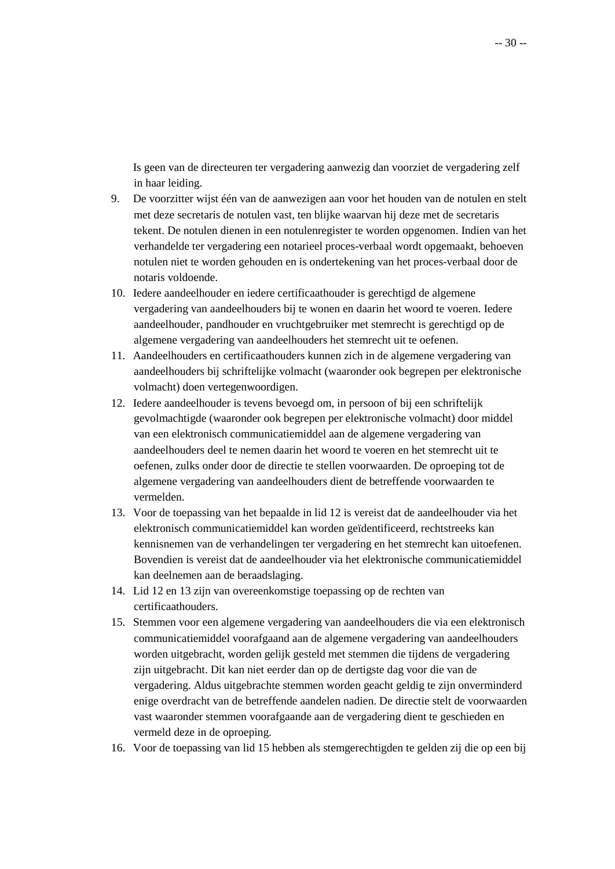Is geen van de directeuren ter vergadering aanwezig dan voorziet de vergadering zelf in haar leiding.

- 9. De voorzitter wijst één van de aanwezigen aan voor het houden van de notulen en stelt met deze secretaris de notulen vast, ten blijke waarvan hij deze met de secretaris tekent. De notulen dienen in een notulenregister te worden opgenomen. Indien van het verhandelde ter vergadering een notarieel proces-verbaal wordt opgemaakt, behoeven notulen niet te worden gehouden en is ondertekening van het proces-verbaal door de notaris voldoende.
- 10. Iedere aandeelhouder en iedere certificaathouder is gerechtigd de algemene vergadering van aandeelhouders bij te wonen en daarin het woord te voeren. Iedere aandeelhouder, pandhouder en vruchtgebruiker met stemrecht is gerechtigd op de algemene vergadering van aandeelhouders het stemrecht uit te oefenen.
- 11. Aandeelhouders en certificaathouders kunnen zich in de algemene vergadering van aandeelhouders bij schriftelijke volmacht (waaronder ook begrepen per elektronische volmacht) doen vertegenwoordigen.
- 12. Iedere aandeelhouder is tevens bevoegd om, in persoon of bij een schriftelijk gevolmachtigde (waaronder ook begrepen per elektronische volmacht) door middel van een elektronisch communicatiemiddel aan de algemene vergadering van aandeelhouders deel te nemen daarin het woord te voeren en het stemrecht uit te oefenen, zulks onder door de directie te stellen voorwaarden. De oproeping tot de algemene vergadering van aandeelhouders dient de betreffende voorwaarden te vermelden.
- 13. Voor de toepassing van het bepaalde in lid 12 is vereist dat de aandeelhouder via het elektronisch communicatiemiddel kan worden geïdentificeerd, rechtstreeks kan kennisnemen van de verhandelingen ter vergadering en het stemrecht kan uitoefenen. Bovendien is vereist dat de aandeelhouder via het elektronische communicatiemiddel kan deelnemen aan de beraadslaging.
- 14. Lid 12 en 13 zijn van overeenkomstige toepassing op de rechten van certificaathouders.
- 15. Stemmen voor een algemene vergadering van aandeelhouders die via een elektronisch communicatiemiddel voorafgaand aan de algemene vergadering van aandeelhouders worden uitgebracht, worden gelijk gesteld met stemmen die tijdens de vergadering zijn uitgebracht. Dit kan niet eerder dan op de dertigste dag voor die van de vergadering. Aldus uitgebrachte stemmen worden geacht geldig te zijn onverminderd enige overdracht van de betreffende aandelen nadien. De directie stelt de voorwaarden vast waaronder stemmen voorafgaande aan de vergadering dient te geschieden en vermeld deze in de oproeping.
- 16. Voor de toepassing van lid 15 hebben als stemgerechtigden te gelden zij die op een bij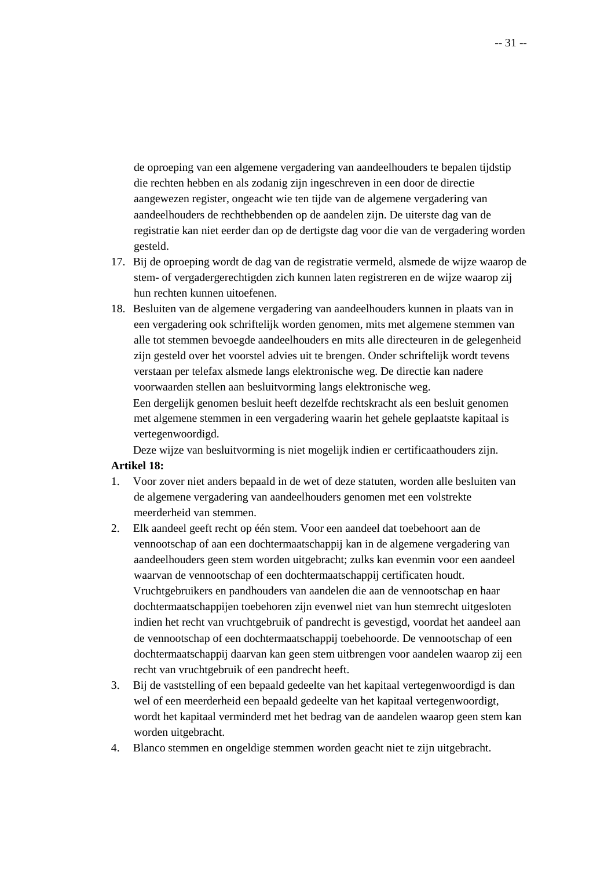de oproeping van een algemene vergadering van aandeelhouders te bepalen tijdstip die rechten hebben en als zodanig zijn ingeschreven in een door de directie aangewezen register, ongeacht wie ten tijde van de algemene vergadering van aandeelhouders de rechthebbenden op de aandelen zijn. De uiterste dag van de registratie kan niet eerder dan op de dertigste dag voor die van de vergadering worden gesteld.

- 17. Bij de oproeping wordt de dag van de registratie vermeld, alsmede de wijze waarop de stem- of vergadergerechtigden zich kunnen laten registreren en de wijze waarop zij hun rechten kunnen uitoefenen.
- 18. Besluiten van de algemene vergadering van aandeelhouders kunnen in plaats van in een vergadering ook schriftelijk worden genomen, mits met algemene stemmen van alle tot stemmen bevoegde aandeelhouders en mits alle directeuren in de gelegenheid zijn gesteld over het voorstel advies uit te brengen. Onder schriftelijk wordt tevens verstaan per telefax alsmede langs elektronische weg. De directie kan nadere voorwaarden stellen aan besluitvorming langs elektronische weg. Een dergelijk genomen besluit heeft dezelfde rechtskracht als een besluit genomen

met algemene stemmen in een vergadering waarin het gehele geplaatste kapitaal is vertegenwoordigd.

Deze wijze van besluitvorming is niet mogelijk indien er certificaathouders zijn.

# **Artikel 18:**

- 1. Voor zover niet anders bepaald in de wet of deze statuten, worden alle besluiten van de algemene vergadering van aandeelhouders genomen met een volstrekte meerderheid van stemmen.
- 2. Elk aandeel geeft recht op één stem. Voor een aandeel dat toebehoort aan de vennootschap of aan een dochtermaatschappij kan in de algemene vergadering van aandeelhouders geen stem worden uitgebracht; zulks kan evenmin voor een aandeel waarvan de vennootschap of een dochtermaatschappij certificaten houdt. Vruchtgebruikers en pandhouders van aandelen die aan de vennootschap en haar dochtermaatschappijen toebehoren zijn evenwel niet van hun stemrecht uitgesloten indien het recht van vruchtgebruik of pandrecht is gevestigd, voordat het aandeel aan de vennootschap of een dochtermaatschappij toebehoorde. De vennootschap of een dochtermaatschappij daarvan kan geen stem uitbrengen voor aandelen waarop zij een recht van vruchtgebruik of een pandrecht heeft.
- 3. Bij de vaststelling of een bepaald gedeelte van het kapitaal vertegenwoordigd is dan wel of een meerderheid een bepaald gedeelte van het kapitaal vertegenwoordigt, wordt het kapitaal verminderd met het bedrag van de aandelen waarop geen stem kan worden uitgebracht.
- 4. Blanco stemmen en ongeldige stemmen worden geacht niet te zijn uitgebracht.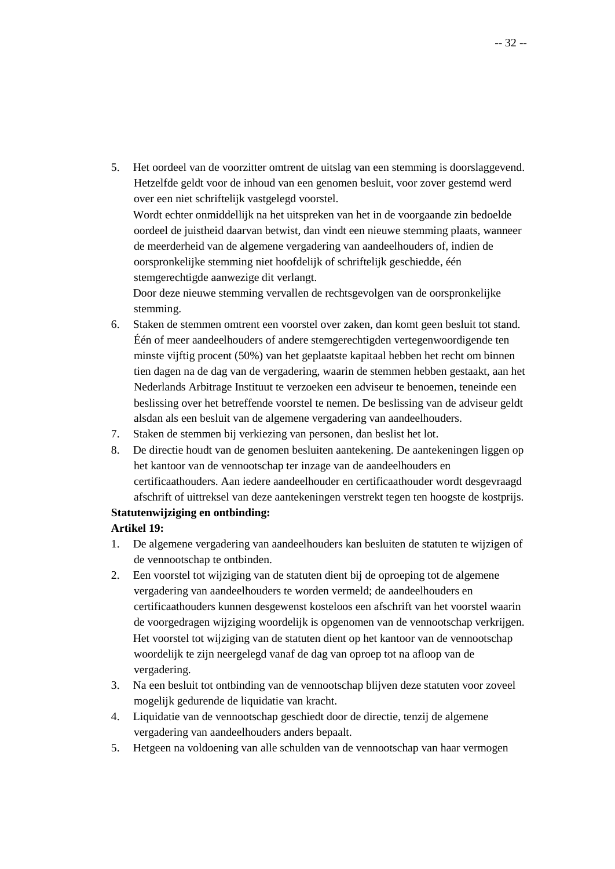5. Het oordeel van de voorzitter omtrent de uitslag van een stemming is doorslaggevend. Hetzelfde geldt voor de inhoud van een genomen besluit, voor zover gestemd werd over een niet schriftelijk vastgelegd voorstel. Wordt echter onmiddellijk na het uitspreken van het in de voorgaande zin bedoelde oordeel de juistheid daarvan betwist, dan vindt een nieuwe stemming plaats, wanneer de meerderheid van de algemene vergadering van aandeelhouders of, indien de oorspronkelijke stemming niet hoofdelijk of schriftelijk geschiedde, één stemgerechtigde aanwezige dit verlangt.

Door deze nieuwe stemming vervallen de rechtsgevolgen van de oorspronkelijke stemming.

- 6. Staken de stemmen omtrent een voorstel over zaken, dan komt geen besluit tot stand. Één of meer aandeelhouders of andere stemgerechtigden vertegenwoordigende ten minste vijftig procent (50%) van het geplaatste kapitaal hebben het recht om binnen tien dagen na de dag van de vergadering, waarin de stemmen hebben gestaakt, aan het Nederlands Arbitrage Instituut te verzoeken een adviseur te benoemen, teneinde een beslissing over het betreffende voorstel te nemen. De beslissing van de adviseur geldt alsdan als een besluit van de algemene vergadering van aandeelhouders.
- 7. Staken de stemmen bij verkiezing van personen, dan beslist het lot.
- 8. De directie houdt van de genomen besluiten aantekening. De aantekeningen liggen op het kantoor van de vennootschap ter inzage van de aandeelhouders en certificaathouders. Aan iedere aandeelhouder en certificaathouder wordt desgevraagd afschrift of uittreksel van deze aantekeningen verstrekt tegen ten hoogste de kostprijs.

# **Statutenwijziging en ontbinding:**

# **Artikel 19:**

- 1. De algemene vergadering van aandeelhouders kan besluiten de statuten te wijzigen of de vennootschap te ontbinden.
- 2. Een voorstel tot wijziging van de statuten dient bij de oproeping tot de algemene vergadering van aandeelhouders te worden vermeld; de aandeelhouders en certificaathouders kunnen desgewenst kosteloos een afschrift van het voorstel waarin de voorgedragen wijziging woordelijk is opgenomen van de vennootschap verkrijgen. Het voorstel tot wijziging van de statuten dient op het kantoor van de vennootschap woordelijk te zijn neergelegd vanaf de dag van oproep tot na afloop van de vergadering.
- 3. Na een besluit tot ontbinding van de vennootschap blijven deze statuten voor zoveel mogelijk gedurende de liquidatie van kracht.
- 4. Liquidatie van de vennootschap geschiedt door de directie, tenzij de algemene vergadering van aandeelhouders anders bepaalt.
- 5. Hetgeen na voldoening van alle schulden van de vennootschap van haar vermogen